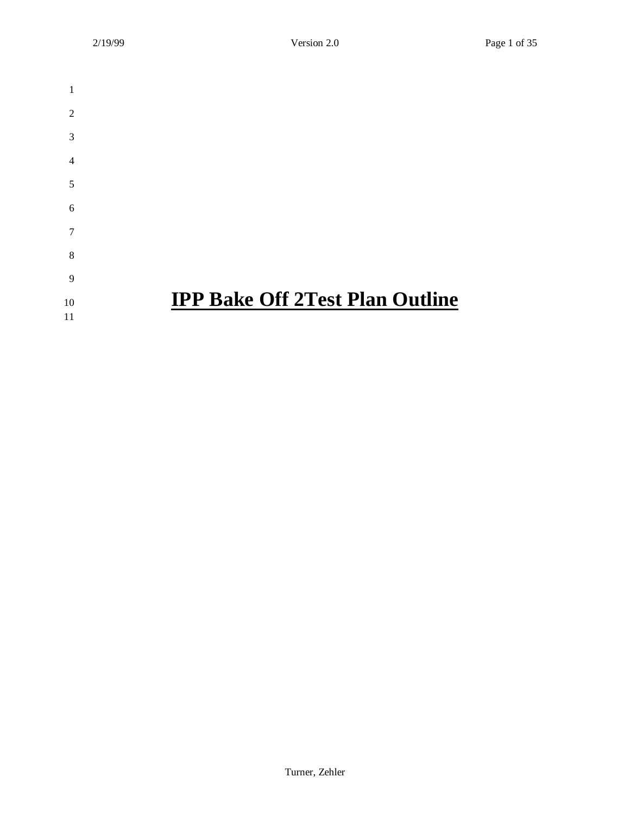| 1              |                                        |
|----------------|----------------------------------------|
| 2              |                                        |
| 3              |                                        |
| $\overline{4}$ |                                        |
| 5              |                                        |
| 6              |                                        |
| 7              |                                        |
| 8              |                                        |
| 9              |                                        |
| 10             | <b>IPP Bake Off 2Test Plan Outline</b> |
| 11             |                                        |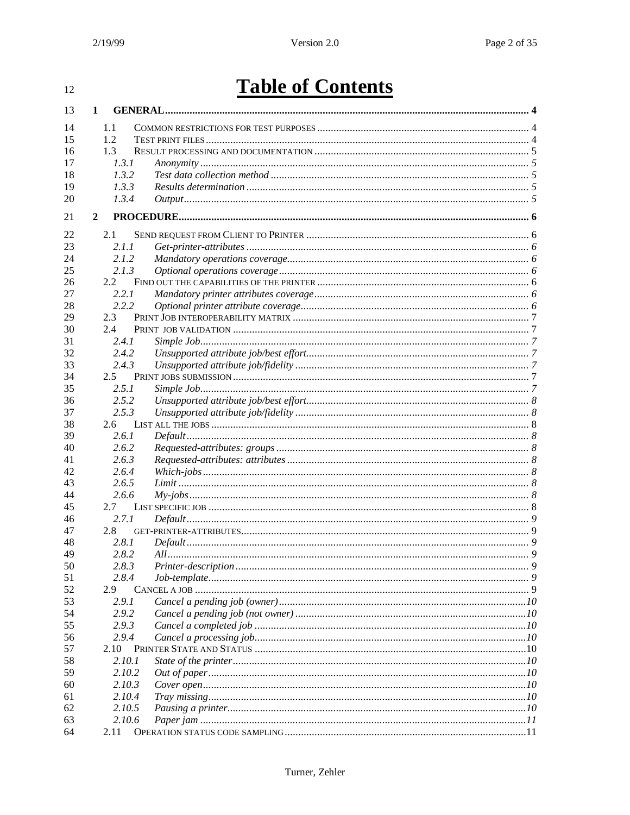#### $12\,$

# **Table of Contents**

| 13       | 1             |        |  |
|----------|---------------|--------|--|
| 14       | 1.1           |        |  |
| 15       | 1.2           |        |  |
| 16       | 1.3           |        |  |
| 17       |               | 1.3.1  |  |
| 18       |               | 1.3.2  |  |
| 19       |               | 1.3.3  |  |
| 20       |               | 1.3.4  |  |
| 21       | $\mathbf{2}$  |        |  |
| 22       | 2.1           |        |  |
| 23       |               | 2.1.1  |  |
| 24       |               | 2.1.2  |  |
| 25       |               | 2.1.3  |  |
| 26       | 2.2           |        |  |
| 27       |               | 2.2.1  |  |
| 28       |               | 2.2.2  |  |
| 29       | 2.3           |        |  |
| 30       | 2.4           |        |  |
| 31       |               | 2.4.1  |  |
| 32       |               | 2.4.2  |  |
| 33       |               | 2.4.3  |  |
| 34       | $2.5^{\circ}$ |        |  |
| 35       |               | 2.5.1  |  |
| 36       |               | 2.5.2  |  |
| 37       |               | 2.5.3  |  |
| 38       | 2.6           |        |  |
| 39       |               | 2.6.1  |  |
| 40       |               | 2.6.2  |  |
| 41       |               | 2.6.3  |  |
| 42       |               | 2.6.4  |  |
| 43       |               | 2.6.5  |  |
| 44       |               | 2.6.6  |  |
| 45       | 2.7           |        |  |
| 46       |               | 2.7.1  |  |
| 47       | 2.8           |        |  |
| 48       |               | 2.8.1  |  |
| 49       |               | 2.8.2  |  |
| 50       |               | 2.8.3  |  |
| 51       |               | 2.8.4  |  |
| 52       | 2.9           |        |  |
| 53       |               | 2.9.1  |  |
| 54       |               | 2.9.2  |  |
| 55       |               | 2.9.3  |  |
| 56       |               | 2.9.4  |  |
| 57       | 2.10          |        |  |
| 58       |               | 2.10.1 |  |
| 59       |               | 2.10.2 |  |
| 60       |               | 2.10.3 |  |
|          |               | 2.10.4 |  |
| 61       |               | 2.10.5 |  |
| 62<br>63 |               | 2.10.6 |  |
|          |               |        |  |
| 64       | 2.11          |        |  |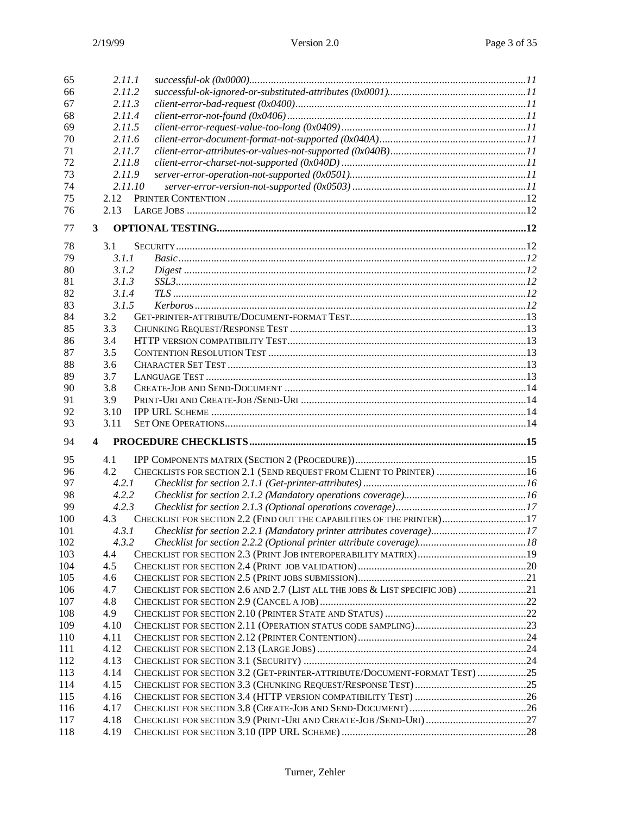| 65  | 2.11.1 |                                                                              |  |
|-----|--------|------------------------------------------------------------------------------|--|
| 66  | 2.11.2 |                                                                              |  |
| 67  | 2.11.3 |                                                                              |  |
| 68  | 2.11.4 |                                                                              |  |
| 69  | 2.11.5 |                                                                              |  |
| 70  | 2.11.6 |                                                                              |  |
| 71  | 2.11.7 |                                                                              |  |
| 72  | 2.11.8 |                                                                              |  |
| 73  | 2.11.9 |                                                                              |  |
| 74  |        | 2.11.10                                                                      |  |
| 75  | 2.12   |                                                                              |  |
| 76  | 2.13   |                                                                              |  |
| 77  | 3      |                                                                              |  |
| 78  | 3.1    |                                                                              |  |
| 79  | 3.1.1  |                                                                              |  |
| 80  | 3.1.2  |                                                                              |  |
| 81  | 3.1.3  |                                                                              |  |
| 82  | 3.1.4  |                                                                              |  |
|     |        |                                                                              |  |
| 83  | 3.1.5  |                                                                              |  |
| 84  | 3.2    |                                                                              |  |
| 85  | 3.3    |                                                                              |  |
| 86  | 3.4    |                                                                              |  |
| 87  | 3.5    |                                                                              |  |
| 88  | 3.6    |                                                                              |  |
| 89  | 3.7    |                                                                              |  |
| 90  | 3.8    |                                                                              |  |
| 91  | 3.9    |                                                                              |  |
| 92  | 3.10   |                                                                              |  |
| 93  | 3.11   |                                                                              |  |
| 94  | 4      |                                                                              |  |
| 95  | 4.1    |                                                                              |  |
| 96  | 4.2    | CHECKLISTS FOR SECTION 2.1 (SEND REQUEST FROM CLIENT TO PRINTER) 16          |  |
| 97  | 4.2.1  |                                                                              |  |
| 98  | 4.2.2  |                                                                              |  |
| 99  | 4.2.3  |                                                                              |  |
| 100 | 4.3    | CHECKLIST FOR SECTION 2.2 (FIND OUT THE CAPABILITIES OF THE PRINTER)17       |  |
| 101 | 4.3.1  | Checklist for section 2.2.1 (Mandatory printer attributes coverage)17        |  |
|     | 4.3.2  |                                                                              |  |
| 102 |        |                                                                              |  |
| 103 | 4.4    |                                                                              |  |
| 104 | 4.5    |                                                                              |  |
| 105 | 4.6    |                                                                              |  |
| 106 | 4.7    | CHECKLIST FOR SECTION 2.6 AND 2.7 (LIST ALL THE JOBS & LIST SPECIFIC JOB) 21 |  |
| 107 | 4.8    |                                                                              |  |
| 108 | 4.9    |                                                                              |  |
| 109 | 4.10   |                                                                              |  |
| 110 | 4.11   |                                                                              |  |
| 111 | 4.12   |                                                                              |  |
| 112 | 4.13   |                                                                              |  |
| 113 | 4.14   | CHECKLIST FOR SECTION 3.2 (GET-PRINTER-ATTRIBUTE/DOCUMENT-FORMAT TEST) 25    |  |
| 114 | 4.15   |                                                                              |  |
| 115 | 4.16   |                                                                              |  |
| 116 | 4.17   |                                                                              |  |
| 117 | 4.18   |                                                                              |  |
| 118 | 4.19   |                                                                              |  |
|     |        |                                                                              |  |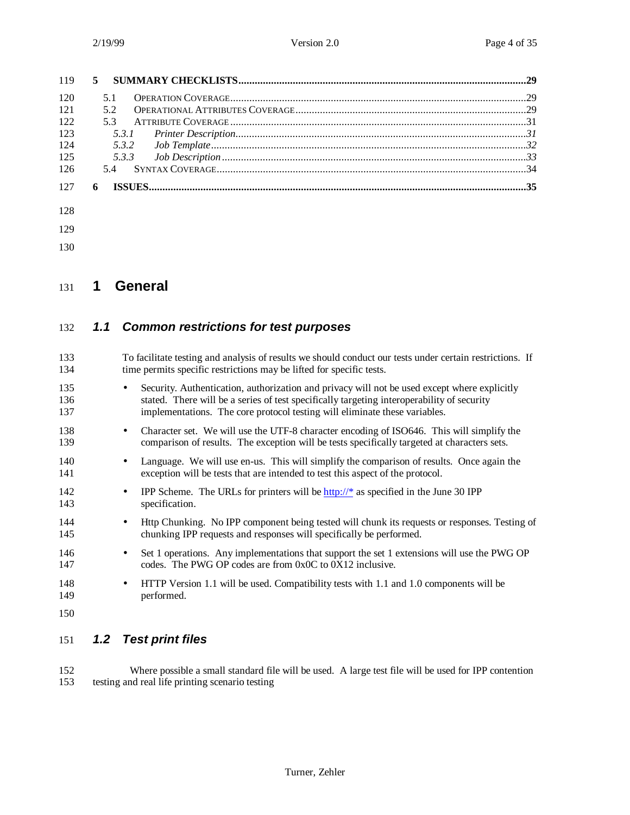| 120 | 51 |  |
|-----|----|--|
| 121 | 52 |  |
| 122 | 53 |  |
| 123 |    |  |
| 124 |    |  |
| 125 |    |  |
| 126 |    |  |
| 127 | 6  |  |
| 128 |    |  |

- 
- 

## **1 General**

## *1.1 Common restrictions for test purposes*

| 133<br>134        |           | To facilitate testing and analysis of results we should conduct our tests under certain restrictions. If<br>time permits specific restrictions may be lifted for specific tests.                                                                                         |
|-------------------|-----------|--------------------------------------------------------------------------------------------------------------------------------------------------------------------------------------------------------------------------------------------------------------------------|
| 135<br>136<br>137 | $\bullet$ | Security. Authentication, authorization and privacy will not be used except where explicitly<br>stated. There will be a series of test specifically targeting interoperability of security<br>implementations. The core protocol testing will eliminate these variables. |
| 138<br>139        | $\bullet$ | Character set. We will use the UTF-8 character encoding of ISO646. This will simplify the<br>comparison of results. The exception will be tests specifically targeted at characters sets.                                                                                |
| 140<br>141        | $\bullet$ | Language. We will use en-us. This will simplify the comparison of results. Once again the<br>exception will be tests that are intended to test this aspect of the protocol.                                                                                              |
| 142<br>143        | $\bullet$ | IPP Scheme. The URLs for printers will be $\frac{http://*}{http://*}$ as specified in the June 30 IPP<br>specification.                                                                                                                                                  |
| 144<br>145        | $\bullet$ | Http Chunking. No IPP component being tested will chunk its requests or responses. Testing of<br>chunking IPP requests and responses will specifically be performed.                                                                                                     |
| 146<br>147        | $\bullet$ | Set 1 operations. Any implementations that support the set 1 extensions will use the PWG OP<br>codes. The PWG OP codes are from 0x0C to 0X12 inclusive.                                                                                                                  |
| 148<br>149        | $\bullet$ | HTTP Version 1.1 will be used. Compatibility tests with 1.1 and 1.0 components will be<br>performed.                                                                                                                                                                     |
| 150               |           |                                                                                                                                                                                                                                                                          |
|                   |           |                                                                                                                                                                                                                                                                          |

## *1.2 Test print files*

 Where possible a small standard file will be used. A large test file will be used for IPP contention testing and real life printing scenario testing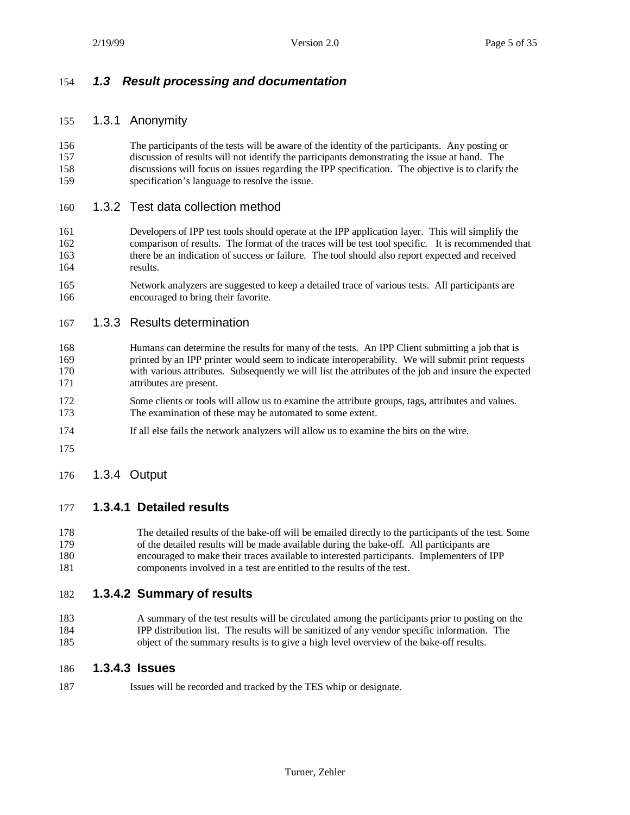## *1.3 Result processing and documentation*

#### 1.3.1 Anonymity

 The participants of the tests will be aware of the identity of the participants. Any posting or discussion of results will not identify the participants demonstrating the issue at hand. The discussions will focus on issues regarding the IPP specification. The objective is to clarify the specification's language to resolve the issue.

#### 1.3.2 Test data collection method

- Developers of IPP test tools should operate at the IPP application layer. This will simplify the comparison of results. The format of the traces will be test tool specific. It is recommended that there be an indication of success or failure. The tool should also report expected and received results.
- Network analyzers are suggested to keep a detailed trace of various tests. All participants are encouraged to bring their favorite.

#### 1.3.3 Results determination

- Humans can determine the results for many of the tests. An IPP Client submitting a job that is printed by an IPP printer would seem to indicate interoperability. We will submit print requests with various attributes. Subsequently we will list the attributes of the job and insure the expected attributes are present.
- Some clients or tools will allow us to examine the attribute groups, tags, attributes and values. The examination of these may be automated to some extent.
- If all else fails the network analyzers will allow us to examine the bits on the wire.
- 

#### 1.3.4 Output

#### **1.3.4.1 Detailed results**

 The detailed results of the bake-off will be emailed directly to the participants of the test. Some of the detailed results will be made available during the bake-off. All participants are encouraged to make their traces available to interested participants. Implementers of IPP components involved in a test are entitled to the results of the test.

#### **1.3.4.2 Summary of results**

 A summary of the test results will be circulated among the participants prior to posting on the IPP distribution list. The results will be sanitized of any vendor specific information. The object of the summary results is to give a high level overview of the bake-off results.

#### **1.3.4.3 Issues**

Issues will be recorded and tracked by the TES whip or designate.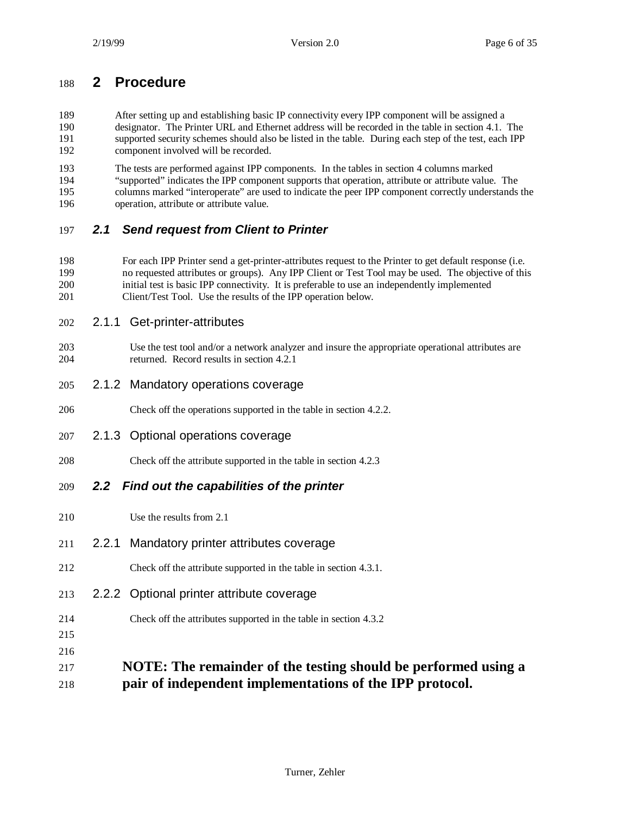## **2 Procedure**

 After setting up and establishing basic IP connectivity every IPP component will be assigned a designator. The Printer URL and Ethernet address will be recorded in the table in section 4.1. The supported security schemes should also be listed in the table. During each step of the test, each IPP component involved will be recorded.

 The tests are performed against IPP components. In the tables in section 4 columns marked "supported" indicates the IPP component supports that operation, attribute or attribute value. The columns marked "interoperate" are used to indicate the peer IPP component correctly understands the operation, attribute or attribute value.

## *2.1 Send request from Client to Printer*

- For each IPP Printer send a get-printer-attributes request to the Printer to get default response (i.e. no requested attributes or groups). Any IPP Client or Test Tool may be used. The objective of this initial test is basic IPP connectivity. It is preferable to use an independently implemented 201 Client/Test Tool. Use the results of the IPP operation below.
- 2.1.1 Get-printer-attributes
- Use the test tool and/or a network analyzer and insure the appropriate operational attributes are returned. Record results in section 4.2.1
- 2.1.2 Mandatory operations coverage
- Check off the operations supported in the table in section 4.2.2.
- 2.1.3 Optional operations coverage
- Check off the attribute supported in the table in section 4.2.3
- *2.2 Find out the capabilities of the printer*
- Use the results from 2.1
- 2.2.1 Mandatory printer attributes coverage
- Check off the attribute supported in the table in section 4.3.1.
- 2.2.2 Optional printer attribute coverage
- Check off the attributes supported in the table in section 4.3.2
- 
- 
- **NOTE: The remainder of the testing should be performed using a pair of independent implementations of the IPP protocol.**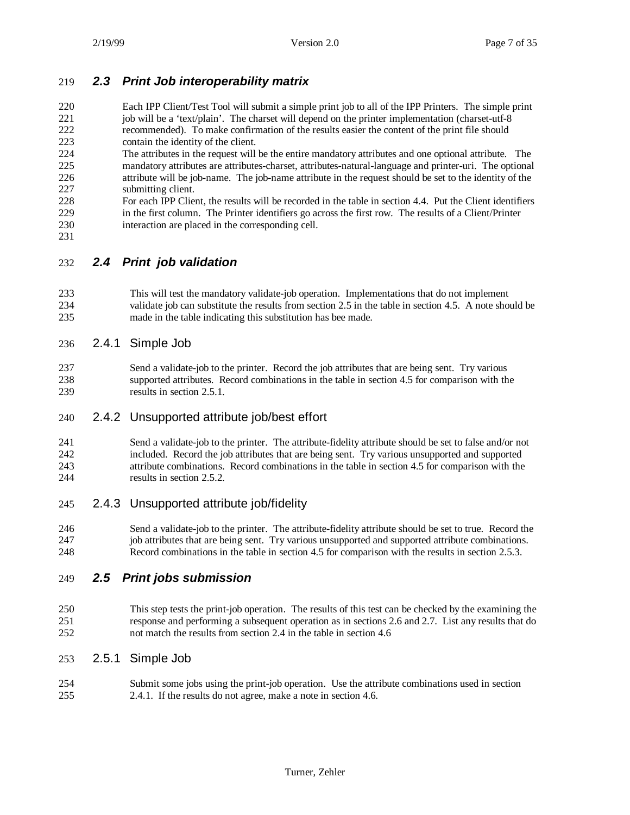#### *2.3 Print Job interoperability matrix*

 Each IPP Client/Test Tool will submit a simple print job to all of the IPP Printers. The simple print 221 job will be a 'text/plain'. The charset will depend on the printer implementation (charset-utf-8 recommended). To make confirmation of the results easier the content of the print file should contain the identity of the client.

- The attributes in the request will be the entire mandatory attributes and one optional attribute. The mandatory attributes are attributes-charset, attributes-natural-language and printer-uri. The optional attribute will be job-name. The job-name attribute in the request should be set to the identity of the submitting client.
- For each IPP Client, the results will be recorded in the table in section 4.4. Put the Client identifiers in the first column. The Printer identifiers go across the first row. The results of a Client/Printer interaction are placed in the corresponding cell.
- 

*2.4 Print job validation*

- This will test the mandatory validate-job operation. Implementations that do not implement validate job can substitute the results from section 2.5 in the table in section 4.5. A note should be made in the table indicating this substitution has bee made.
- 2.4.1 Simple Job
- Send a validate-job to the printer. Record the job attributes that are being sent. Try various supported attributes. Record combinations in the table in section 4.5 for comparison with the 239 results in section 2.5.1.

#### 2.4.2 Unsupported attribute job/best effort

 Send a validate-job to the printer. The attribute-fidelity attribute should be set to false and/or not included. Record the job attributes that are being sent. Try various unsupported and supported attribute combinations. Record combinations in the table in section 4.5 for comparison with the results in section 2.5.2.

## 2.4.3 Unsupported attribute job/fidelity

 Send a validate-job to the printer. The attribute-fidelity attribute should be set to true. Record the job attributes that are being sent. Try various unsupported and supported attribute combinations. Record combinations in the table in section 4.5 for comparison with the results in section 2.5.3.

## *2.5 Print jobs submission*

 This step tests the print-job operation. The results of this test can be checked by the examining the response and performing a subsequent operation as in sections 2.6 and 2.7. List any results that do not match the results from section 2.4 in the table in section 4.6

#### 2.5.1 Simple Job

 Submit some jobs using the print-job operation. Use the attribute combinations used in section 2.4.1. If the results do not agree, make a note in section 4.6.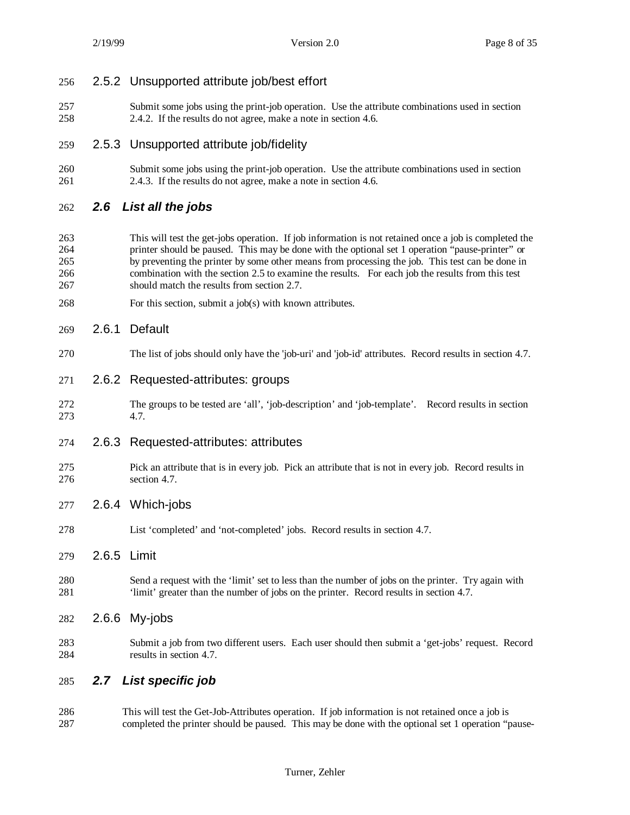#### 2.5.2 Unsupported attribute job/best effort

 Submit some jobs using the print-job operation. Use the attribute combinations used in section 2.4.2. If the results do not agree, make a note in section 4.6.

#### 2.5.3 Unsupported attribute job/fidelity

 Submit some jobs using the print-job operation. Use the attribute combinations used in section 2.4.3. If the results do not agree, make a note in section 4.6.

#### *2.6 List all the jobs*

- This will test the get-jobs operation. If job information is not retained once a job is completed the printer should be paused. This may be done with the optional set 1 operation "pause-printer" or by preventing the printer by some other means from processing the job. This test can be done in combination with the section 2.5 to examine the results. For each job the results from this test should match the results from section 2.7.
- For this section, submit a job(s) with known attributes.

#### 2.6.1 Default

- The list of jobs should only have the 'job-uri' and 'job-id' attributes. Record results in section 4.7.
- 2.6.2 Requested-attributes: groups
- The groups to be tested are 'all', 'job-description' and 'job-template'. Record results in section 4.7.
- 2.6.3 Requested-attributes: attributes
- Pick an attribute that is in every job. Pick an attribute that is not in every job. Record results in section 4.7.
- 2.6.4 Which-jobs
- List 'completed' and 'not-completed' jobs. Record results in section 4.7.
- 2.6.5 Limit
- Send a request with the 'limit' set to less than the number of jobs on the printer. Try again with 'limit' greater than the number of jobs on the printer. Record results in section 4.7.
- 2.6.6 My-jobs
- Submit a job from two different users. Each user should then submit a 'get-jobs' request. Record results in section 4.7.

#### *2.7 List specific job*

 This will test the Get-Job-Attributes operation. If job information is not retained once a job is completed the printer should be paused. This may be done with the optional set 1 operation "pause-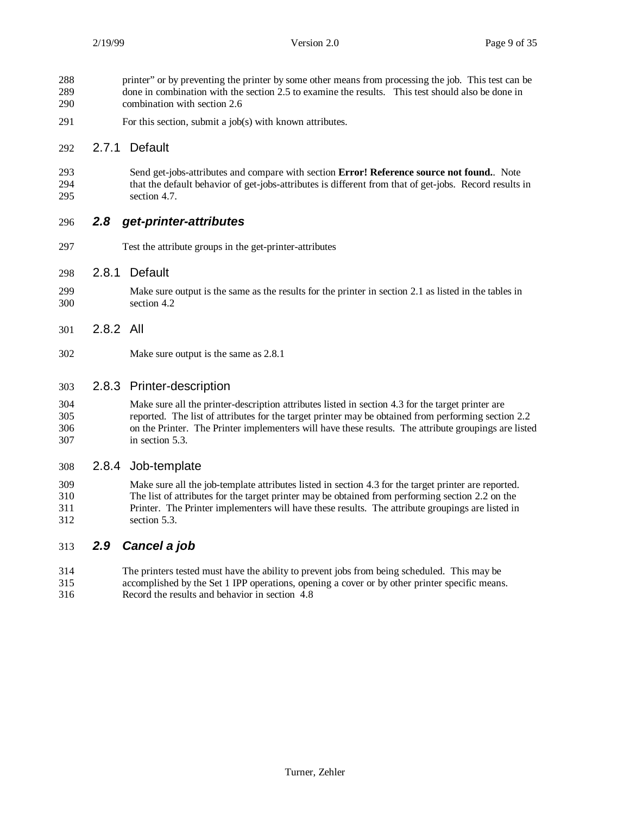- printer" or by preventing the printer by some other means from processing the job. This test can be done in combination with the section 2.5 to examine the results. This test should also be done in combination with section 2.6 For this section, submit a job(s) with known attributes. 2.7.1 Default Send get-jobs-attributes and compare with section **Error! Reference source not found.**. Note that the default behavior of get-jobs-attributes is different from that of get-jobs. Record results in section 4.7. *2.8 get-printer-attributes* Test the attribute groups in the get-printer-attributes 2.8.1 Default Make sure output is the same as the results for the printer in section 2.1 as listed in the tables in section 4.2 2.8.2 All Make sure output is the same as 2.8.1 2.8.3 Printer-description Make sure all the printer-description attributes listed in section 4.3 for the target printer are
- reported. The list of attributes for the target printer may be obtained from performing section 2.2 on the Printer. The Printer implementers will have these results. The attribute groupings are listed in section 5.3.

## 2.8.4 Job-template

 Make sure all the job-template attributes listed in section 4.3 for the target printer are reported. The list of attributes for the target printer may be obtained from performing section 2.2 on the Printer. The Printer implementers will have these results. The attribute groupings are listed in section 5.3.

## *2.9 Cancel a job*

 The printers tested must have the ability to prevent jobs from being scheduled. This may be accomplished by the Set 1 IPP operations, opening a cover or by other printer specific means. Record the results and behavior in section 4.8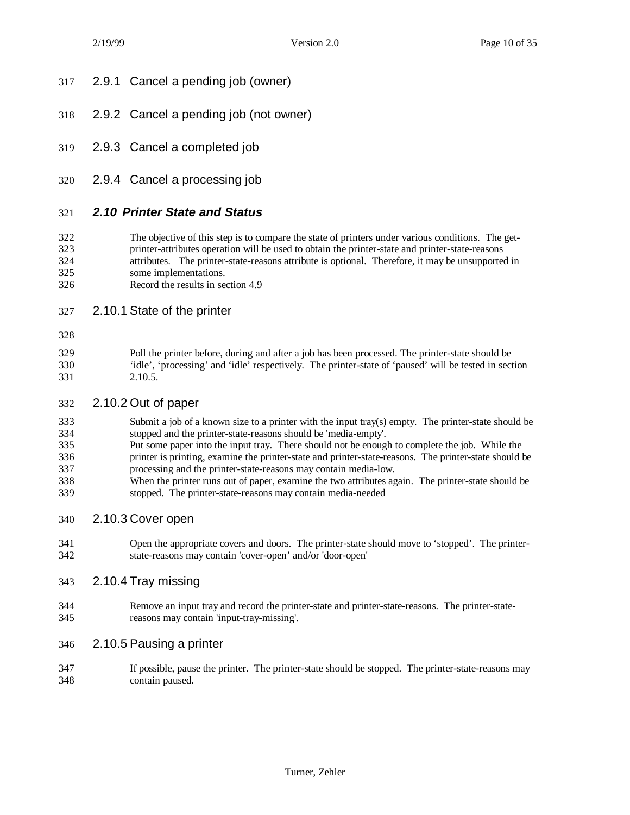- 2.9.1 Cancel a pending job (owner)
- 2.9.2 Cancel a pending job (not owner)
- 2.9.3 Cancel a completed job
- 2.9.4 Cancel a processing job

## *2.10 Printer State and Status*

- The objective of this step is to compare the state of printers under various conditions. The get- printer-attributes operation will be used to obtain the printer-state and printer-state-reasons 324 attributes. The printer-state-reasons attribute is optional. Therefore, it may be unsupported in some implementations. some implementations.
- Record the results in section 4.9
- 2.10.1 State of the printer
- 

 Poll the printer before, during and after a job has been processed. The printer-state should be 'idle', 'processing' and 'idle' respectively. The printer-state of 'paused' will be tested in section 2.10.5.

#### 2.10.2 Out of paper

- Submit a job of a known size to a printer with the input tray(s) empty. The printer-state should be stopped and the printer-state-reasons should be 'media-empty'.
- Put some paper into the input tray. There should not be enough to complete the job. While the printer is printing, examine the printer-state and printer-state-reasons. The printer-state should be processing and the printer-state-reasons may contain media-low.
- When the printer runs out of paper, examine the two attributes again. The printer-state should be stopped. The printer-state-reasons may contain media-needed
- 2.10.3 Cover open
- Open the appropriate covers and doors. The printer-state should move to 'stopped'. The printer-state-reasons may contain 'cover-open' and/or 'door-open'
- 2.10.4 Tray missing
- Remove an input tray and record the printer-state and printer-state-reasons. The printer-state-reasons may contain 'input-tray-missing'.
- 2.10.5 Pausing a printer
- If possible, pause the printer. The printer-state should be stopped. The printer-state-reasons may contain paused.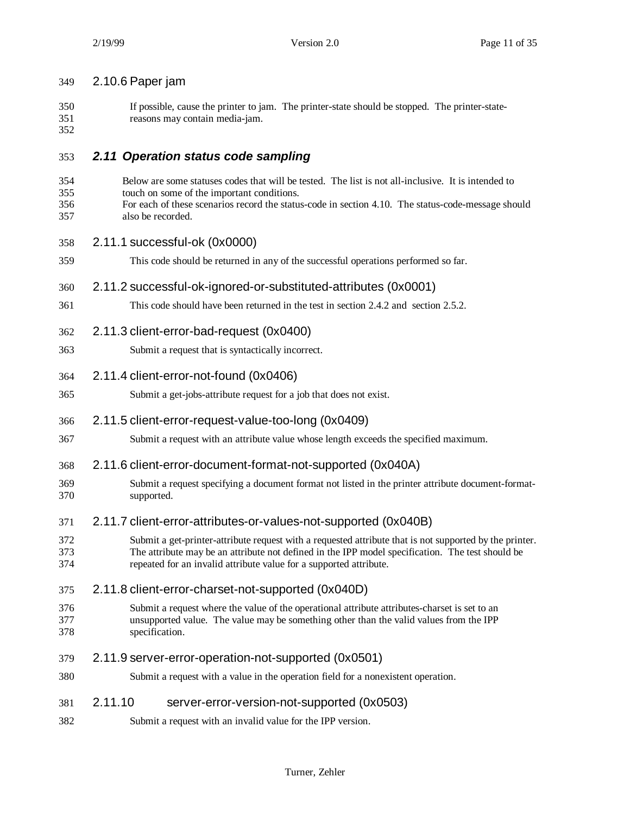| 349                      | 2.10.6 Paper jam                                                                                                                                                                                                                                                                  |
|--------------------------|-----------------------------------------------------------------------------------------------------------------------------------------------------------------------------------------------------------------------------------------------------------------------------------|
| 350<br>351<br>352        | If possible, cause the printer to jam. The printer-state should be stopped. The printer-state-<br>reasons may contain media-jam.                                                                                                                                                  |
| 353                      | 2.11 Operation status code sampling                                                                                                                                                                                                                                               |
| 354<br>355<br>356<br>357 | Below are some statuses codes that will be tested. The list is not all-inclusive. It is intended to<br>touch on some of the important conditions.<br>For each of these scenarios record the status-code in section 4.10. The status-code-message should<br>also be recorded.      |
| 358                      | 2.11.1 successful-ok (0x0000)                                                                                                                                                                                                                                                     |
| 359                      | This code should be returned in any of the successful operations performed so far.                                                                                                                                                                                                |
| 360                      | 2.11.2 successful-ok-ignored-or-substituted-attributes (0x0001)                                                                                                                                                                                                                   |
| 361                      | This code should have been returned in the test in section 2.4.2 and section 2.5.2.                                                                                                                                                                                               |
| 362                      | 2.11.3 client-error-bad-request (0x0400)                                                                                                                                                                                                                                          |
| 363                      | Submit a request that is syntactically incorrect.                                                                                                                                                                                                                                 |
| 364                      | 2.11.4 client-error-not-found (0x0406)                                                                                                                                                                                                                                            |
| 365                      | Submit a get-jobs-attribute request for a job that does not exist.                                                                                                                                                                                                                |
| 366                      | 2.11.5 client-error-request-value-too-long (0x0409)                                                                                                                                                                                                                               |
| 367                      | Submit a request with an attribute value whose length exceeds the specified maximum.                                                                                                                                                                                              |
| 368                      | 2.11.6 client-error-document-format-not-supported (0x040A)                                                                                                                                                                                                                        |
| 369<br>370               | Submit a request specifying a document format not listed in the printer attribute document-format-<br>supported.                                                                                                                                                                  |
| 371                      | 2.11.7 client-error-attributes-or-values-not-supported (0x040B)                                                                                                                                                                                                                   |
| 372<br>373<br>374        | Submit a get-printer-attribute request with a requested attribute that is not supported by the printer.<br>The attribute may be an attribute not defined in the IPP model specification. The test should be<br>repeated for an invalid attribute value for a supported attribute. |
| 375                      | 2.11.8 client-error-charset-not-supported (0x040D)                                                                                                                                                                                                                                |
| 376<br>377<br>378        | Submit a request where the value of the operational attribute attributes-charset is set to an<br>unsupported value. The value may be something other than the valid values from the IPP<br>specification.                                                                         |
| 379                      | 2.11.9 server-error-operation-not-supported (0x0501)                                                                                                                                                                                                                              |
| 380                      | Submit a request with a value in the operation field for a nonexistent operation.                                                                                                                                                                                                 |
| 381                      | 2.11.10<br>server-error-version-not-supported (0x0503)                                                                                                                                                                                                                            |
| 382                      | Submit a request with an invalid value for the IPP version.                                                                                                                                                                                                                       |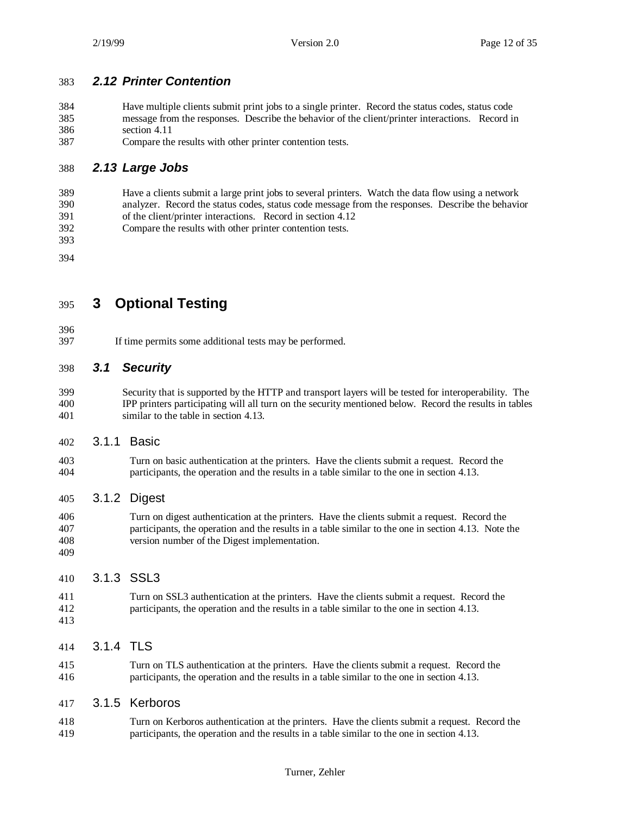## *2.12 Printer Contention*

- Have multiple clients submit print jobs to a single printer. Record the status codes, status code message from the responses. Describe the behavior of the client/printer interactions. Record in section 4.11
- Compare the results with other printer contention tests.

## *2.13 Large Jobs*

- Have a clients submit a large print jobs to several printers. Watch the data flow using a network analyzer. Record the status codes, status code message from the responses. Describe the behavior of the client/printer interactions. Record in section 4.12
- Compare the results with other printer contention tests.

- **3 Optional Testing**
- 
- If time permits some additional tests may be performed.

## *3.1 Security*

- Security that is supported by the HTTP and transport layers will be tested for interoperability. The IPP printers participating will all turn on the security mentioned below. Record the results in tables similar to the table in section 4.13.
- 3.1.1 Basic
- Turn on basic authentication at the printers. Have the clients submit a request. Record the participants, the operation and the results in a table similar to the one in section 4.13.

## 3.1.2 Digest

 Turn on digest authentication at the printers. Have the clients submit a request. Record the participants, the operation and the results in a table similar to the one in section 4.13. Note the version number of the Digest implementation. 

## 3.1.3 SSL3

 Turn on SSL3 authentication at the printers. Have the clients submit a request. Record the participants, the operation and the results in a table similar to the one in section 4.13. 

## 3.1.4 TLS

 Turn on TLS authentication at the printers. Have the clients submit a request. Record the participants, the operation and the results in a table similar to the one in section 4.13.

#### 3.1.5 Kerboros

 Turn on Kerboros authentication at the printers. Have the clients submit a request. Record the participants, the operation and the results in a table similar to the one in section 4.13.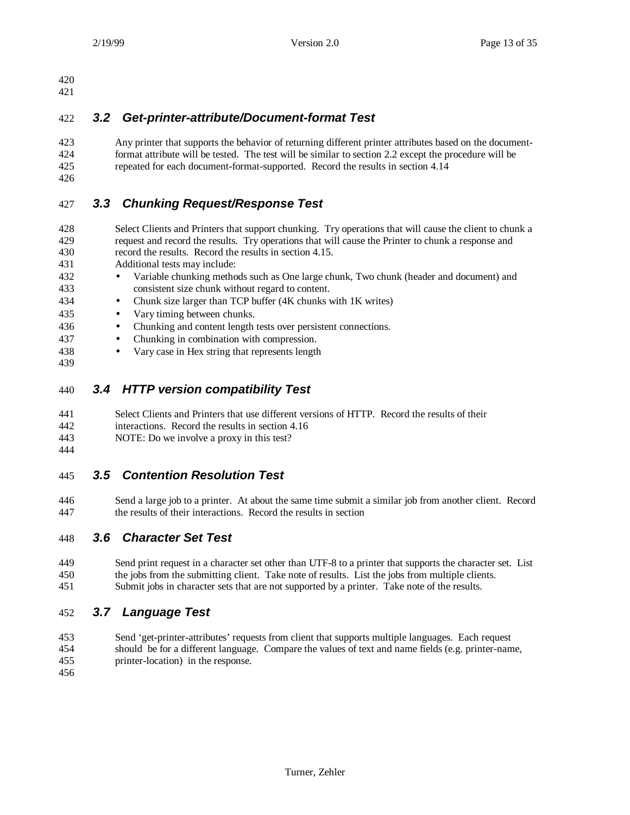## *3.2 Get-printer-attribute/Document-format Test*

 Any printer that supports the behavior of returning different printer attributes based on the document- format attribute will be tested. The test will be similar to section 2.2 except the procedure will be repeated for each document-format-supported. Record the results in section 4.14

## *3.3 Chunking Request/Response Test*

 Select Clients and Printers that support chunking. Try operations that will cause the client to chunk a request and record the results. Try operations that will cause the Printer to chunk a response and record the results. Record the results in section 4.15.

- Additional tests may include:
- Variable chunking methods such as One large chunk, Two chunk (header and document) and consistent size chunk without regard to content.
- Chunk size larger than TCP buffer (4K chunks with 1K writes)
- Vary timing between chunks.
- Chunking and content length tests over persistent connections.
- Chunking in combination with compression.
- Vary case in Hex string that represents length
- 

## *3.4 HTTP version compatibility Test*

- Select Clients and Printers that use different versions of HTTP. Record the results of their
- interactions. Record the results in section 4.16
- NOTE: Do we involve a proxy in this test?
- 

## *3.5 Contention Resolution Test*

 Send a large job to a printer. At about the same time submit a similar job from another client. Record the results of their interactions. Record the results in section

## *3.6 Character Set Test*

 Send print request in a character set other than UTF-8 to a printer that supports the character set. List the jobs from the submitting client. Take note of results. List the jobs from multiple clients. Submit jobs in character sets that are not supported by a printer. Take note of the results.

## *3.7 Language Test*

- Send 'get-printer-attributes' requests from client that supports multiple languages. Each request should be for a different language. Compare the values of text and name fields (e.g. printer-name,
- printer-location) in the response.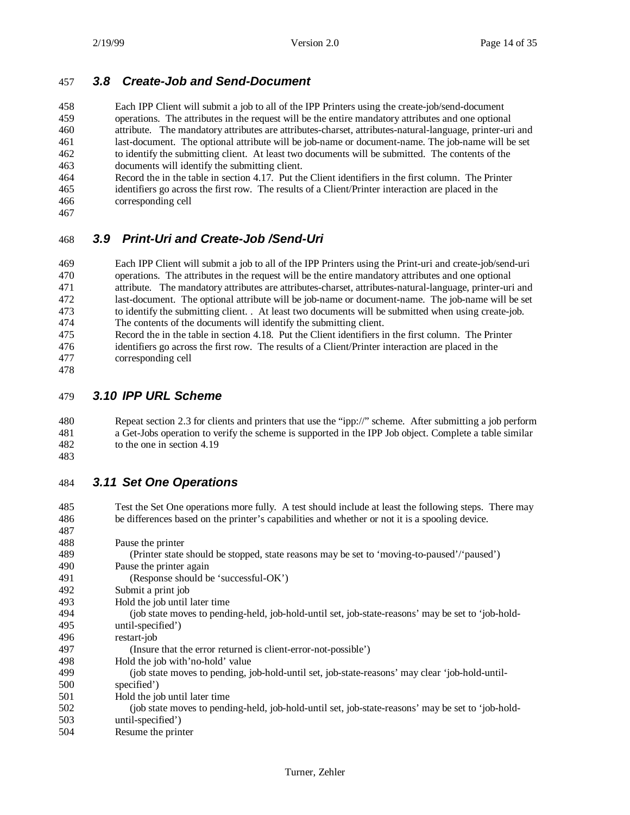### *3.8 Create-Job and Send-Document*

 Each IPP Client will submit a job to all of the IPP Printers using the create-job/send-document operations. The attributes in the request will be the entire mandatory attributes and one optional attribute. The mandatory attributes are attributes-charset, attributes-natural-language, printer-uri and last-document. The optional attribute will be job-name or document-name. The job-name will be set to identify the submitting client. At least two documents will be submitted. The contents of the documents will identify the submitting client.

- Record the in the table in section 4.17. Put the Client identifiers in the first column. The Printer identifiers go across the first row. The results of a Client/Printer interaction are placed in the corresponding cell
- 

## *3.9 Print-Uri and Create-Job /Send-Uri*

 Each IPP Client will submit a job to all of the IPP Printers using the Print-uri and create-job/send-uri operations. The attributes in the request will be the entire mandatory attributes and one optional attribute. The mandatory attributes are attributes-charset, attributes-natural-language, printer-uri and last-document. The optional attribute will be job-name or document-name. The job-name will be set to identify the submitting client. . At least two documents will be submitted when using create-job. The contents of the documents will identify the submitting client.

- 475 Record the in the table in section 4.18. Put the Client identifiers in the first column. The Printer identifiers go across the first row. The results of a Client/Printer interaction are placed in the identifiers go across the first row. The results of a Client/Printer interaction are placed in the corresponding cell
- 

## *3.10 IPP URL Scheme*

 Repeat section 2.3 for clients and printers that use the "ipp://" scheme. After submitting a job perform a Get-Jobs operation to verify the scheme is supported in the IPP Job object. Complete a table similar to the one in section 4.19

## *3.11 Set One Operations*

 Test the Set One operations more fully. A test should include at least the following steps. There may be differences based on the printer's capabilities and whether or not it is a spooling device.

| 487 |                                                                                                   |
|-----|---------------------------------------------------------------------------------------------------|
| 488 | Pause the printer                                                                                 |
| 489 | (Printer state should be stopped, state reasons may be set to 'moving-to-paused'/'paused')        |
| 490 | Pause the printer again                                                                           |
| 491 | (Response should be 'successful-OK')                                                              |
| 492 | Submit a print job                                                                                |
| 493 | Hold the job until later time                                                                     |
| 494 | (job state moves to pending-held, job-hold-until set, job-state-reasons' may be set to 'job-hold- |
| 495 | until-specified')                                                                                 |
| 496 | restart-job                                                                                       |
| 497 | (Insure that the error returned is client-error-not-possible')                                    |
| 498 | Hold the job with no-hold' value                                                                  |
| 499 | (job state moves to pending, job-hold-until set, job-state-reasons' may clear 'job-hold-until-    |
| 500 | specified')                                                                                       |
| 501 | Hold the job until later time                                                                     |
| 502 | (job state moves to pending-held, job-hold-until set, job-state-reasons' may be set to 'job-hold- |
| 503 | until-specified')                                                                                 |
| 504 | Resume the printer                                                                                |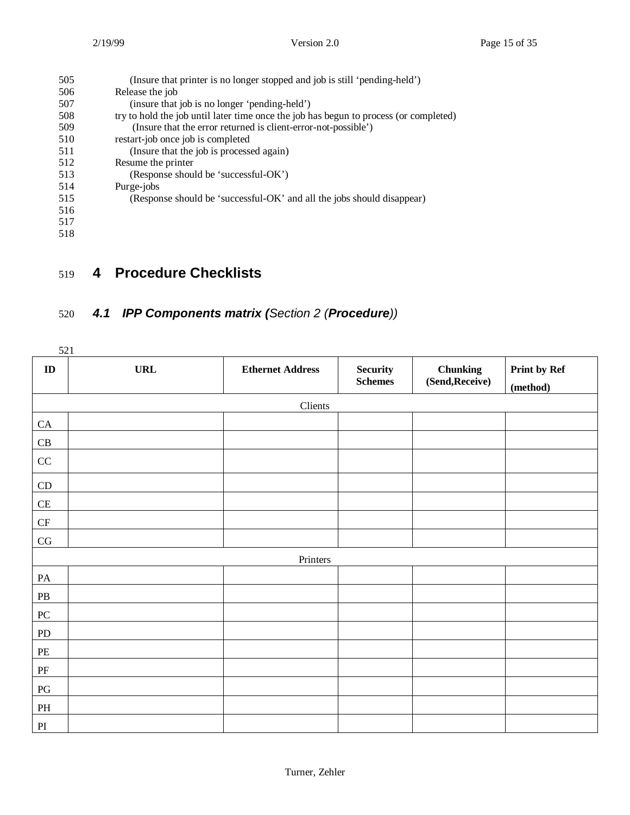| 505 | (Insure that printer is no longer stopped and job is still 'pending-held')            |
|-----|---------------------------------------------------------------------------------------|
| 506 | Release the job                                                                       |
| 507 | (insure that job is no longer 'pending-held')                                         |
| 508 | try to hold the job until later time once the job has begun to process (or completed) |
| 509 | (Insure that the error returned is client-error-not-possible)                         |
| 510 | restart-job once job is completed                                                     |
| 511 | (Insure that the job is processed again)                                              |
| 512 | Resume the printer                                                                    |
| 513 | (Response should be 'successful-OK')                                                  |
| 514 | Purge-jobs                                                                            |
| 515 | (Response should be 'successful-OK' and all the jobs should disappear)                |
| 516 |                                                                                       |
| 517 |                                                                                       |
| 518 |                                                                                       |
|     |                                                                                       |

## 519 **4 Procedure Checklists**

## 520 *4.1 IPP Components matrix (Section 2 (Procedure))*

| 521                                        |            |                         |                                   |                                    |                          |
|--------------------------------------------|------------|-------------------------|-----------------------------------|------------------------------------|--------------------------|
| ${\bf ID}$                                 | <b>URL</b> | <b>Ethernet Address</b> | <b>Security</b><br><b>Schemes</b> | <b>Chunking</b><br>(Send, Receive) | Print by Ref<br>(method) |
|                                            |            | Clients                 |                                   |                                    |                          |
| ${\rm CA}$                                 |            |                         |                                   |                                    |                          |
| $\operatorname{CB}$                        |            |                         |                                   |                                    |                          |
| $\rm CC$                                   |            |                         |                                   |                                    |                          |
| $\mathop{\rm CD}$                          |            |                         |                                   |                                    |                          |
| $\operatorname{CE}$                        |            |                         |                                   |                                    |                          |
| CF                                         |            |                         |                                   |                                    |                          |
| $\mathbf{C}\mathbf{G}$                     |            |                         |                                   |                                    |                          |
|                                            |            | Printers                |                                   |                                    |                          |
| $\mathbf{PA}$                              |            |                         |                                   |                                    |                          |
| ${\bf P}{\bf B}$                           |            |                         |                                   |                                    |                          |
| ${\bf P}{\bf C}$                           |            |                         |                                   |                                    |                          |
| ${\rm PD}$                                 |            |                         |                                   |                                    |                          |
| $\ensuremath{\mathop{\mathrm{PE}}}\xspace$ |            |                         |                                   |                                    |                          |
| $\rm PF$                                   |            |                         |                                   |                                    |                          |
| $\mathop{\mathrm{PG}}\nolimits$            |            |                         |                                   |                                    |                          |
| $\mathbf{PH}$                              |            |                         |                                   |                                    |                          |
| $\mathop{\rm PI}\nolimits$                 |            |                         |                                   |                                    |                          |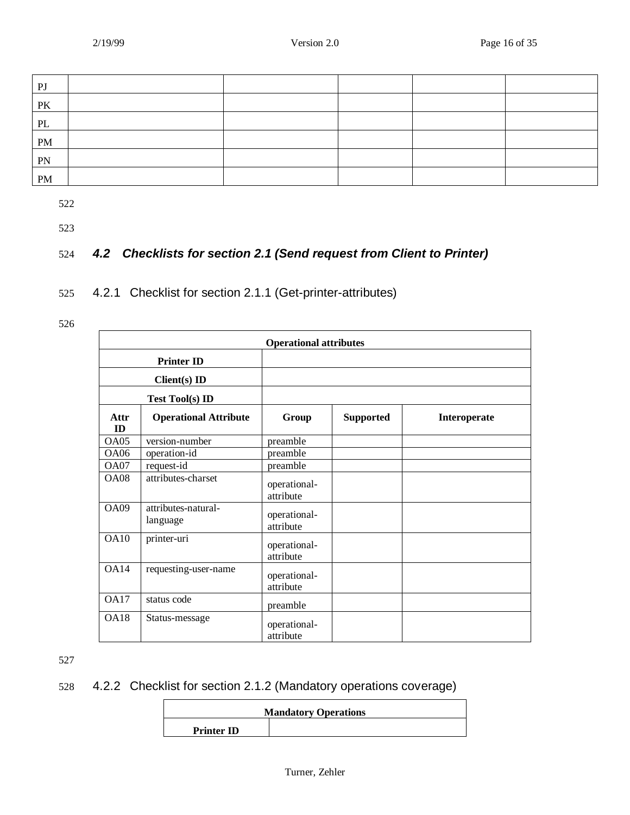| P <sub>J</sub>                  |  |  |  |
|---------------------------------|--|--|--|
| $\mathbf{P}\mathbf{K}$          |  |  |  |
| $\ensuremath{\text{PL}}\xspace$ |  |  |  |
| PM                              |  |  |  |
| PN                              |  |  |  |
| PM                              |  |  |  |

523

## 524 *4.2 Checklists for section 2.1 (Send request from Client to Printer)*

525 4.2.1 Checklist for section 2.1.1 (Get-printer-attributes)

526

|                  |                                 | <b>Operational attributes</b> |                  |              |
|------------------|---------------------------------|-------------------------------|------------------|--------------|
|                  | <b>Printer ID</b>               |                               |                  |              |
|                  | $Client(s)$ ID                  |                               |                  |              |
|                  | <b>Test Tool(s) ID</b>          |                               |                  |              |
| Attr<br>ID       | <b>Operational Attribute</b>    | Group                         | <b>Supported</b> | Interoperate |
| OA05             | version-number                  | preamble                      |                  |              |
| <b>OA06</b>      | operation-id                    | preamble                      |                  |              |
| <b>OA07</b>      | request-id                      | preamble                      |                  |              |
| OAO8             | attributes-charset              | operational-<br>attribute     |                  |              |
| OA09             | attributes-natural-<br>language | operational-<br>attribute     |                  |              |
| OA10             | printer-uri                     | operational-<br>attribute     |                  |              |
| <b>OA14</b>      | requesting-user-name            | operational-<br>attribute     |                  |              |
| <b>OA17</b>      | status code                     | preamble                      |                  |              |
| O <sub>A18</sub> | Status-message                  | operational-<br>attribute     |                  |              |

527

## 528 4.2.2 Checklist for section 2.1.2 (Mandatory operations coverage)

|                   | <b>Mandatory Operations</b> |
|-------------------|-----------------------------|
| <b>Printer ID</b> |                             |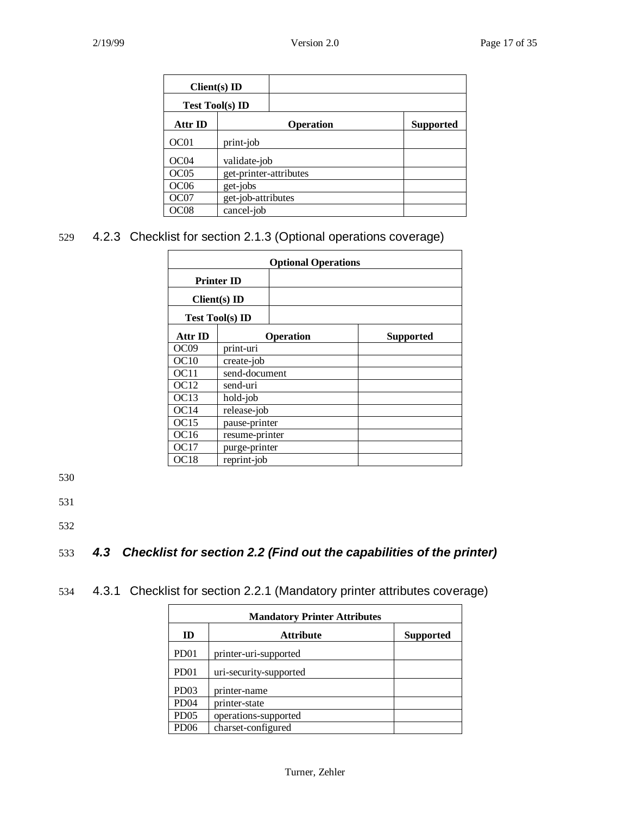| $Client(s)$ ID         |                        |                  |                  |
|------------------------|------------------------|------------------|------------------|
| <b>Test Tool(s) ID</b> |                        |                  |                  |
| Attr ID                |                        | <b>Operation</b> | <b>Supported</b> |
| OC01                   | print-job              |                  |                  |
| OC <sub>04</sub>       | validate-job           |                  |                  |
| OC <sub>05</sub>       | get-printer-attributes |                  |                  |
| OC <sub>06</sub>       | get-jobs               |                  |                  |
| OC <sub>07</sub>       | get-job-attributes     |                  |                  |
| OC <sub>08</sub>       | cancel-job             |                  |                  |

529 4.2.3 Checklist for section 2.1.3 (Optional operations coverage)

| <b>Optional Operations</b> |                        |                  |  |  |  |  |
|----------------------------|------------------------|------------------|--|--|--|--|
|                            | <b>Printer ID</b>      |                  |  |  |  |  |
|                            | $Client(s)$ ID         |                  |  |  |  |  |
|                            | <b>Test Tool(s) ID</b> |                  |  |  |  |  |
| Attr ID                    | <b>Operation</b>       | <b>Supported</b> |  |  |  |  |
| OC <sub>09</sub>           | print-uri              |                  |  |  |  |  |
| OC10                       | create-job             |                  |  |  |  |  |
| OC <sub>11</sub>           | send-document          |                  |  |  |  |  |
| OC12                       | send-uri               |                  |  |  |  |  |
| OC <sub>13</sub>           | hold-job               |                  |  |  |  |  |
| OC14                       | release-job            |                  |  |  |  |  |
| OC15                       | pause-printer          |                  |  |  |  |  |
| OC16                       | resume-printer         |                  |  |  |  |  |
| OC <sub>17</sub>           | purge-printer          |                  |  |  |  |  |
| OC <sub>18</sub>           | reprint-job            |                  |  |  |  |  |

530

531

532

## 533 *4.3 Checklist for section 2.2 (Find out the capabilities of the printer)*

534 4.3.1 Checklist for section 2.2.1 (Mandatory printer attributes coverage)

| <b>Mandatory Printer Attributes</b> |                        |                  |  |  |
|-------------------------------------|------------------------|------------------|--|--|
| ID                                  | <b>Attribute</b>       | <b>Supported</b> |  |  |
| PD <sub>01</sub>                    | printer-uri-supported  |                  |  |  |
| PD <sub>01</sub>                    | uri-security-supported |                  |  |  |
| PD <sub>03</sub>                    | printer-name           |                  |  |  |
| PD <sub>04</sub>                    | printer-state          |                  |  |  |
| PD <sub>05</sub>                    | operations-supported   |                  |  |  |
| PD <sub>06</sub>                    | charset-configured     |                  |  |  |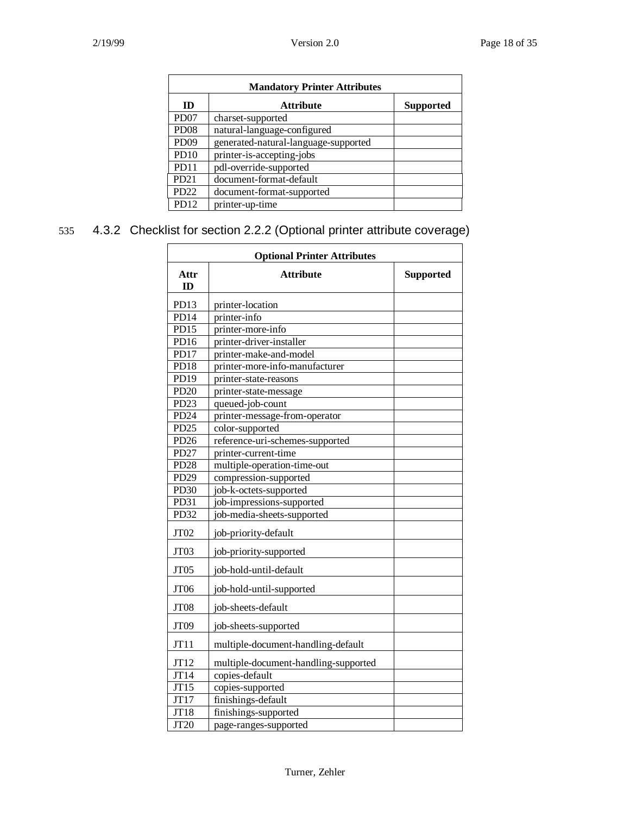| <b>Mandatory Printer Attributes</b> |                                      |                  |  |  |
|-------------------------------------|--------------------------------------|------------------|--|--|
| ID                                  | <b>Attribute</b>                     | <b>Supported</b> |  |  |
| PD <sub>07</sub>                    | charset-supported                    |                  |  |  |
| PD <sub>08</sub>                    | natural-language-configured          |                  |  |  |
| PD <sub>09</sub>                    | generated-natural-language-supported |                  |  |  |
| PD <sub>10</sub>                    | printer-is-accepting-jobs            |                  |  |  |
| P <sub>D</sub> 11                   | pdl-override-supported               |                  |  |  |
| PD <sub>21</sub>                    | document-format-default              |                  |  |  |
| PD <sub>22</sub>                    | document-format-supported            |                  |  |  |
| PD <sub>12</sub>                    | printer-up-time                      |                  |  |  |

## 535 4.3.2 Checklist for section 2.2.2 (Optional printer attribute coverage)

| <b>Optional Printer Attributes</b> |                                      |  |  |  |  |  |  |
|------------------------------------|--------------------------------------|--|--|--|--|--|--|
| Attr<br>ID                         | <b>Attribute</b><br><b>Supported</b> |  |  |  |  |  |  |
| PD <sub>13</sub>                   | printer-location                     |  |  |  |  |  |  |
| PD14                               | printer-info                         |  |  |  |  |  |  |
| PD15                               | printer-more-info                    |  |  |  |  |  |  |
| PD16                               | printer-driver-installer             |  |  |  |  |  |  |
| PD17                               | printer-make-and-model               |  |  |  |  |  |  |
| PD18                               | printer-more-info-manufacturer       |  |  |  |  |  |  |
| PD19                               | printer-state-reasons                |  |  |  |  |  |  |
| <b>PD20</b>                        | printer-state-message                |  |  |  |  |  |  |
| PD <sub>23</sub>                   | queued-job-count                     |  |  |  |  |  |  |
| PD <sub>24</sub>                   | printer-message-from-operator        |  |  |  |  |  |  |
| PD <sub>25</sub>                   | color-supported                      |  |  |  |  |  |  |
| PD <sub>26</sub>                   | reference-uri-schemes-supported      |  |  |  |  |  |  |
| <b>PD27</b>                        | printer-current-time                 |  |  |  |  |  |  |
| <b>PD28</b>                        | multiple-operation-time-out          |  |  |  |  |  |  |
| PD29                               | compression-supported                |  |  |  |  |  |  |
| PD <sub>30</sub>                   | job-k-octets-supported               |  |  |  |  |  |  |
| PD31                               | job-impressions-supported            |  |  |  |  |  |  |
| PD32                               | job-media-sheets-supported           |  |  |  |  |  |  |
| JT <sub>02</sub>                   | job-priority-default                 |  |  |  |  |  |  |
| JT <sub>03</sub>                   | job-priority-supported               |  |  |  |  |  |  |
| JT <sub>05</sub>                   | job-hold-until-default               |  |  |  |  |  |  |
| JT <sub>06</sub>                   | job-hold-until-supported             |  |  |  |  |  |  |
| JT08                               | job-sheets-default                   |  |  |  |  |  |  |
| JT <sub>09</sub>                   | job-sheets-supported                 |  |  |  |  |  |  |
| JT11                               | multiple-document-handling-default   |  |  |  |  |  |  |
| JT12                               | multiple-document-handling-supported |  |  |  |  |  |  |
| JT14                               | copies-default                       |  |  |  |  |  |  |
| JT15                               | copies-supported                     |  |  |  |  |  |  |
| JT17                               | finishings-default                   |  |  |  |  |  |  |
| JT18                               | finishings-supported                 |  |  |  |  |  |  |
| JT20                               | page-ranges-supported                |  |  |  |  |  |  |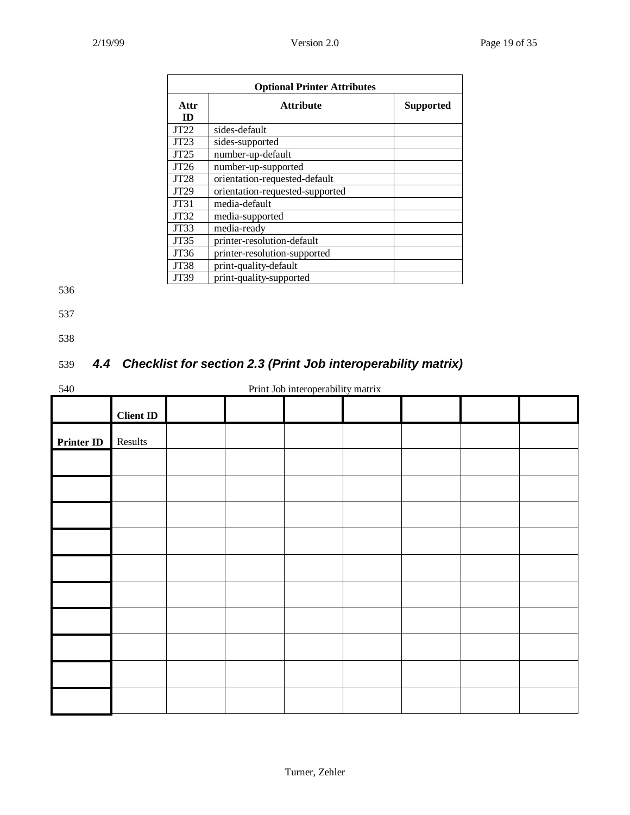| <b>Optional Printer Attributes</b> |                                      |  |  |  |  |  |
|------------------------------------|--------------------------------------|--|--|--|--|--|
| Attr<br><b>ID</b>                  | <b>Attribute</b><br><b>Supported</b> |  |  |  |  |  |
| JT22                               | sides-default                        |  |  |  |  |  |
| JT23                               | sides-supported                      |  |  |  |  |  |
| JT25                               | number-up-default                    |  |  |  |  |  |
| JT26                               | number-up-supported                  |  |  |  |  |  |
| JT28                               | orientation-requested-default        |  |  |  |  |  |
| JT29                               | orientation-requested-supported      |  |  |  |  |  |
| JT31                               | media-default                        |  |  |  |  |  |
| JT32                               | media-supported                      |  |  |  |  |  |
| JT33                               | media-ready                          |  |  |  |  |  |
| JT35                               | printer-resolution-default           |  |  |  |  |  |
| JT36                               | printer-resolution-supported         |  |  |  |  |  |
| JT38                               | print-quality-default                |  |  |  |  |  |
| JT39                               | print-quality-supported              |  |  |  |  |  |

- 537
- 

538

## 539 *4.4 Checklist for section 2.3 (Print Job interoperability matrix)*

#### 540 Print Job interoperability matrix

|                   | <b>Client ID</b> |  |  |  |  |
|-------------------|------------------|--|--|--|--|
| <b>Printer ID</b> | Results          |  |  |  |  |
|                   |                  |  |  |  |  |
|                   |                  |  |  |  |  |
|                   |                  |  |  |  |  |
|                   |                  |  |  |  |  |
|                   |                  |  |  |  |  |
|                   |                  |  |  |  |  |
|                   |                  |  |  |  |  |
|                   |                  |  |  |  |  |
|                   |                  |  |  |  |  |
|                   |                  |  |  |  |  |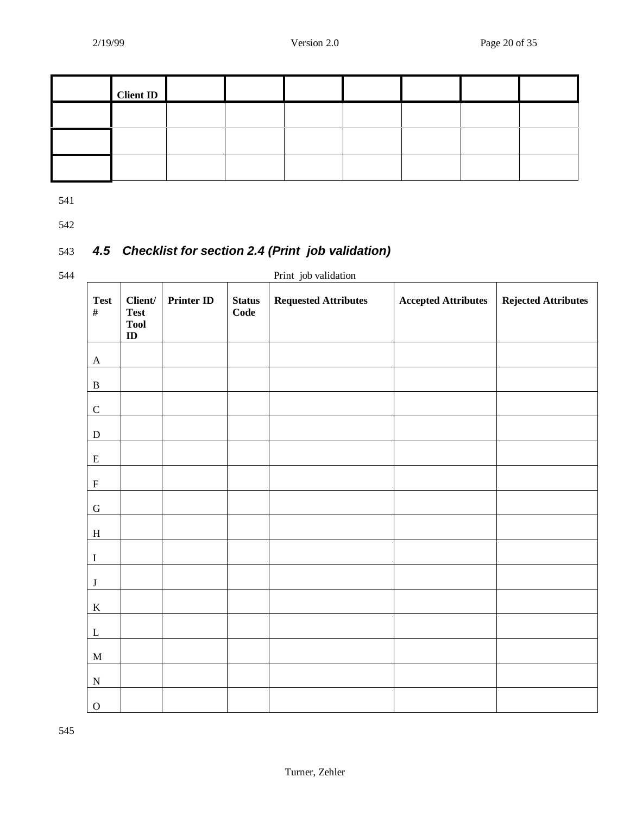| <b>Client ID</b> |  |  |  |  |
|------------------|--|--|--|--|
|                  |  |  |  |  |
|                  |  |  |  |  |
|                  |  |  |  |  |

542

## 543 *4.5 Checklist for section 2.4 (Print job validation)*

544 Print job validation **Test # Client/ Test Tool ID Printer ID Status Code Requested Attributes Accepted Attributes Rejected Attributes** A B C  ${\bf D}$ E  $\mathbf F$ G  $\,$  H I J  $\mathbf K$ L M N O

545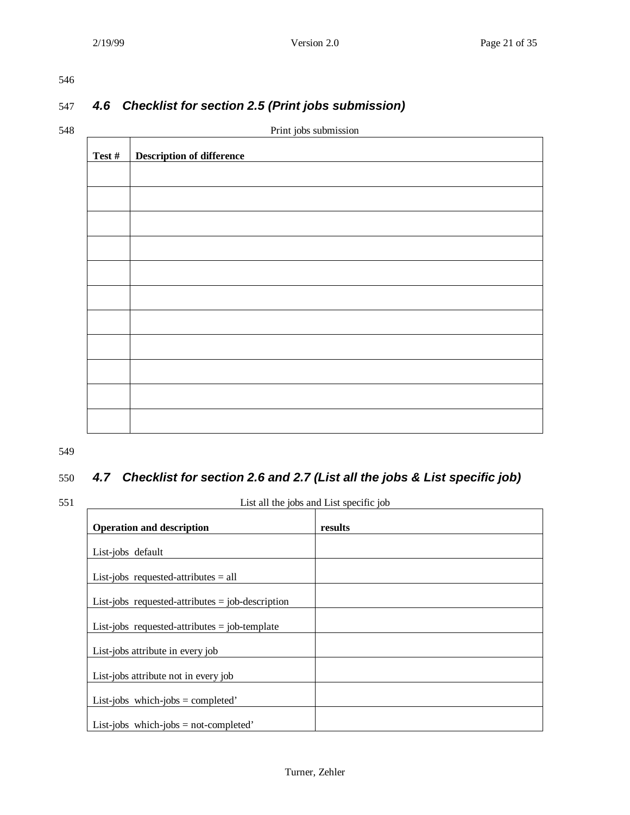## 547 *4.6 Checklist for section 2.5 (Print jobs submission)*

548 Print jobs submission **Test # Description of difference**

549

## 550 *4.7 Checklist for section 2.6 and 2.7 (List all the jobs & List specific job)*

#### 551 List all the jobs and List specific job

| $\frac{1}{2}$                                      |         |  |  |  |
|----------------------------------------------------|---------|--|--|--|
| <b>Operation and description</b>                   | results |  |  |  |
| List-jobs default                                  |         |  |  |  |
| List-jobs requested-attributes $=$ all             |         |  |  |  |
| List-jobs requested-attributes $=$ job-description |         |  |  |  |
| List-jobs requested-attributes $=$ job-template    |         |  |  |  |
| List-jobs attribute in every job                   |         |  |  |  |
| List-jobs attribute not in every job               |         |  |  |  |
| List-jobs which-jobs = completed'                  |         |  |  |  |
| List-jobs which-jobs = not-completed'              |         |  |  |  |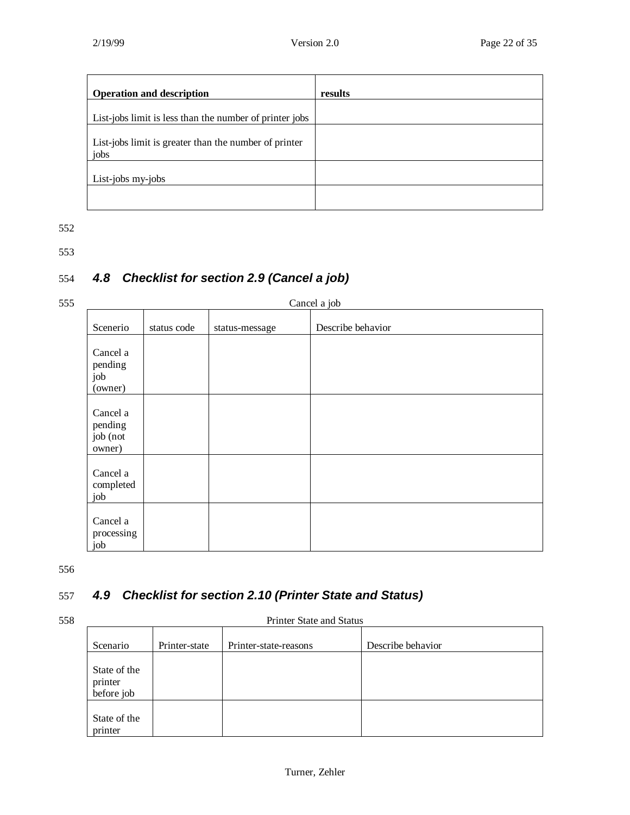| <b>Operation and description</b>                              | results |
|---------------------------------------------------------------|---------|
| List-jobs limit is less than the number of printer jobs       |         |
| List-jobs limit is greater than the number of printer<br>jobs |         |
| List-jobs my-jobs                                             |         |
|                                                               |         |

553

## 554 *4.8 Checklist for section 2.9 (Cancel a job)*

## 555 Cancel a job

|                                           |             |                | ◡                 |
|-------------------------------------------|-------------|----------------|-------------------|
| Scenerio                                  | status code | status-message | Describe behavior |
| Cancel a<br>pending<br>job<br>(owner)     |             |                |                   |
| Cancel a<br>pending<br>job (not<br>owner) |             |                |                   |
| Cancel a<br>completed<br>job              |             |                |                   |
| Cancel a<br>processing<br>job             |             |                |                   |

556

## 557 *4.9 Checklist for section 2.10 (Printer State and Status)*

#### 558 Printer State and Status

| Scenario                              | Printer-state | Printer-state-reasons | Describe behavior |
|---------------------------------------|---------------|-----------------------|-------------------|
| State of the<br>printer<br>before job |               |                       |                   |
| State of the<br>printer               |               |                       |                   |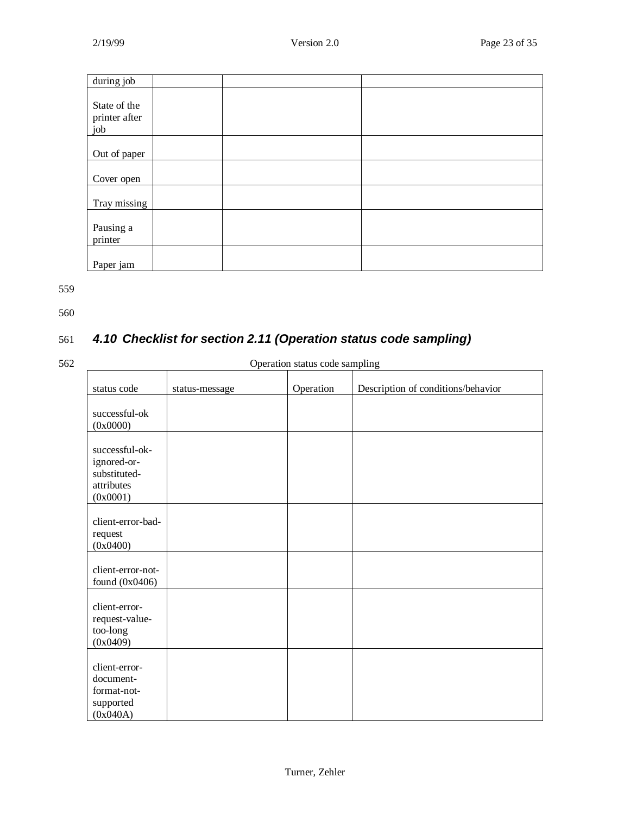| during job                           |  |  |
|--------------------------------------|--|--|
| State of the<br>printer after<br>job |  |  |
| Out of paper                         |  |  |
| Cover open                           |  |  |
| Tray missing                         |  |  |
| Pausing a<br>printer                 |  |  |
| Paper jam                            |  |  |

560

## 561 *4.10 Checklist for section 2.11 (Operation status code sampling)*

#### 562 Operation status code sampling

| status code                                                             | status-message | Operation | Description of conditions/behavior |
|-------------------------------------------------------------------------|----------------|-----------|------------------------------------|
| successful-ok<br>(0x0000)                                               |                |           |                                    |
| successful-ok-<br>ignored-or-<br>substituted-<br>attributes<br>(0x0001) |                |           |                                    |
| client-error-bad-<br>request<br>(0x0400)                                |                |           |                                    |
| client-error-not-<br>found $(0x0406)$                                   |                |           |                                    |
| client-error-<br>request-value-<br>too-long<br>(0x0409)                 |                |           |                                    |
| client-error-<br>document-<br>format-not-<br>supported<br>(0x040A)      |                |           |                                    |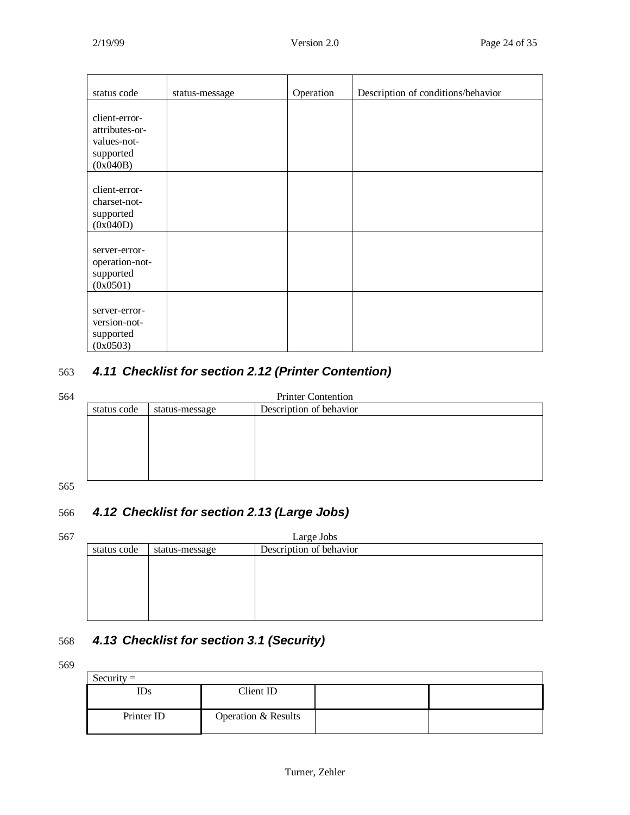| status code                                                             | status-message | Operation | Description of conditions/behavior |
|-------------------------------------------------------------------------|----------------|-----------|------------------------------------|
| client-error-<br>attributes-or-<br>values-not-<br>supported<br>(0x040B) |                |           |                                    |
| client-error-<br>charset-not-<br>supported<br>(0x040D)                  |                |           |                                    |
| server-error-<br>operation-not-<br>supported<br>(0x0501)                |                |           |                                    |
| server-error-<br>version-not-<br>supported<br>(0x0503)                  |                |           |                                    |

## 563 *4.11 Checklist for section 2.12 (Printer Contention)*

| ٠ |
|---|
|   |

| <b>Printer Contention</b> |                                           |  |  |  |
|---------------------------|-------------------------------------------|--|--|--|
| status code               | Description of behavior<br>status-message |  |  |  |
|                           |                                           |  |  |  |
|                           |                                           |  |  |  |
|                           |                                           |  |  |  |
|                           |                                           |  |  |  |
|                           |                                           |  |  |  |
|                           |                                           |  |  |  |

#### 565

## 566 *4.12 Checklist for section 2.13 (Large Jobs)*

| 567 | Large Jobs                                               |  |  |  |  |
|-----|----------------------------------------------------------|--|--|--|--|
|     | Description of behavior<br>status code<br>status-message |  |  |  |  |
|     |                                                          |  |  |  |  |
|     |                                                          |  |  |  |  |
|     |                                                          |  |  |  |  |
|     |                                                          |  |  |  |  |
|     |                                                          |  |  |  |  |
|     |                                                          |  |  |  |  |

## 568 *4.13 Checklist for section 3.1 (Security)*

569

| $Security =$ |                     |  |
|--------------|---------------------|--|
| IDs          | Client ID           |  |
|              |                     |  |
| Printer ID   | Operation & Results |  |
|              |                     |  |
|              |                     |  |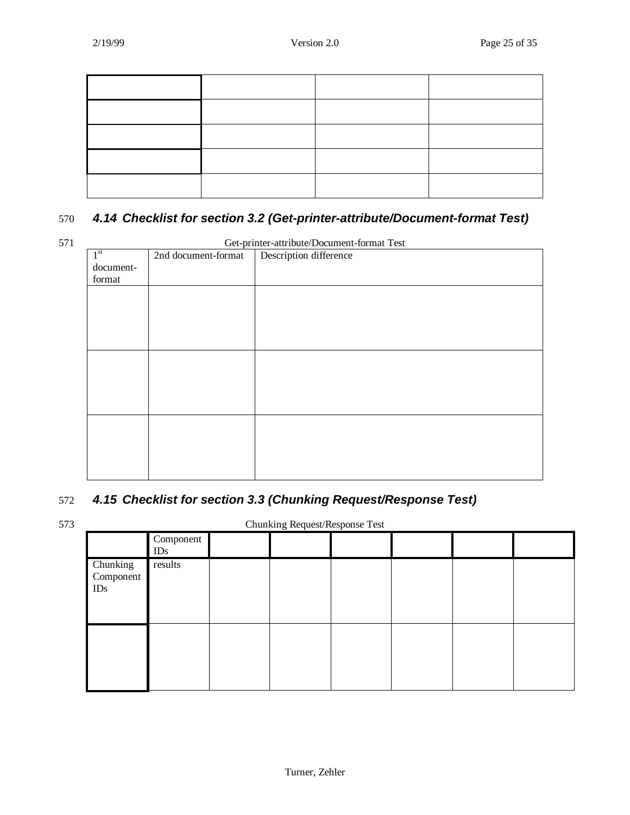## 570 *4.14 Checklist for section 3.2 (Get-printer-attribute/Document-format Test)*

571 Get-printer-attribute/Document-format Test

| 1 <sup>st</sup> | 2nd document-format | our printer authorite Document format Test<br>Description difference |
|-----------------|---------------------|----------------------------------------------------------------------|
| document-       |                     |                                                                      |
| format          |                     |                                                                      |
|                 |                     |                                                                      |
|                 |                     |                                                                      |
|                 |                     |                                                                      |
|                 |                     |                                                                      |
|                 |                     |                                                                      |
|                 |                     |                                                                      |
|                 |                     |                                                                      |
|                 |                     |                                                                      |
|                 |                     |                                                                      |
|                 |                     |                                                                      |
|                 |                     |                                                                      |
|                 |                     |                                                                      |
|                 |                     |                                                                      |
|                 |                     |                                                                      |
|                 |                     |                                                                      |
|                 |                     |                                                                      |
|                 |                     |                                                                      |

## 572 *4.15 Checklist for section 3.3 (Chunking Request/Response Test)*

573 Chunking Request/Response Test

|                              | Component<br>IDs |  |  |  |
|------------------------------|------------------|--|--|--|
| Chunking<br>Component<br>IDs | results          |  |  |  |
|                              |                  |  |  |  |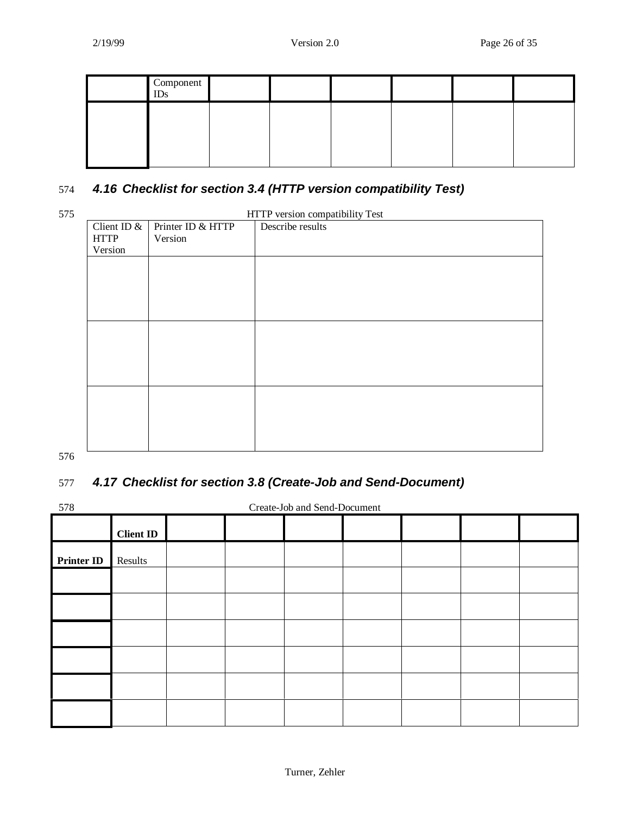| Component<br><b>IDs</b> |  |  |  |
|-------------------------|--|--|--|
|                         |  |  |  |
|                         |  |  |  |

## 574 *4.16 Checklist for section 3.4 (HTTP version compatibility Test)*

| 575 | HTTP version compatibility Test |                   |                  |  |  |  |
|-----|---------------------------------|-------------------|------------------|--|--|--|
|     | Client ID &                     | Printer ID & HTTP | Describe results |  |  |  |
|     | <b>HTTP</b>                     | Version           |                  |  |  |  |
|     | Version                         |                   |                  |  |  |  |
|     |                                 |                   |                  |  |  |  |
|     |                                 |                   |                  |  |  |  |
|     |                                 |                   |                  |  |  |  |
|     |                                 |                   |                  |  |  |  |
|     |                                 |                   |                  |  |  |  |
|     |                                 |                   |                  |  |  |  |
|     |                                 |                   |                  |  |  |  |
|     |                                 |                   |                  |  |  |  |
|     |                                 |                   |                  |  |  |  |
|     |                                 |                   |                  |  |  |  |
|     |                                 |                   |                  |  |  |  |
|     |                                 |                   |                  |  |  |  |
|     |                                 |                   |                  |  |  |  |
|     |                                 |                   |                  |  |  |  |
|     |                                 |                   |                  |  |  |  |
|     |                                 |                   |                  |  |  |  |

576

## 577 *4.17 Checklist for section 3.8 (Create-Job and Send-Document)*

578 Create-Job and Send-Document

|                   | <b>Client ID</b> |  |  |  |  |
|-------------------|------------------|--|--|--|--|
| <b>Printer ID</b> | Results          |  |  |  |  |
|                   |                  |  |  |  |  |
|                   |                  |  |  |  |  |
|                   |                  |  |  |  |  |
|                   |                  |  |  |  |  |
|                   |                  |  |  |  |  |
|                   |                  |  |  |  |  |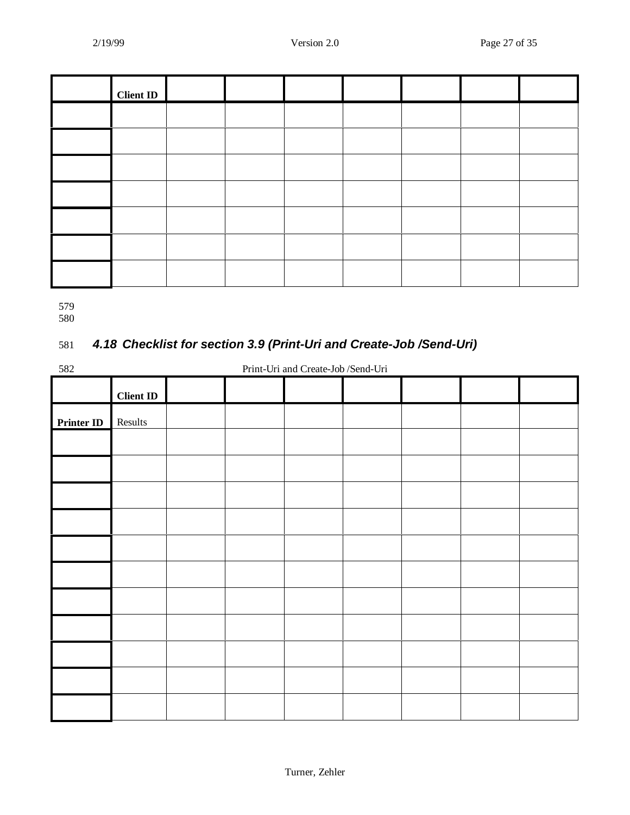| <b>Client ID</b> |  |  |  |  |
|------------------|--|--|--|--|
|                  |  |  |  |  |
|                  |  |  |  |  |
|                  |  |  |  |  |
|                  |  |  |  |  |
|                  |  |  |  |  |
|                  |  |  |  |  |
|                  |  |  |  |  |

580

## 581 *4.18 Checklist for section 3.9 (Print-Uri and Create-Job /Send-Uri)*

582 Print-Uri and Create-Job /Send-Uri

|            | <b>Client ID</b> |  |  |  |  |
|------------|------------------|--|--|--|--|
| Printer ID | Results<br>П     |  |  |  |  |
|            |                  |  |  |  |  |
|            |                  |  |  |  |  |
|            |                  |  |  |  |  |
|            |                  |  |  |  |  |
|            |                  |  |  |  |  |
|            |                  |  |  |  |  |
|            |                  |  |  |  |  |
|            |                  |  |  |  |  |
|            |                  |  |  |  |  |
|            |                  |  |  |  |  |
|            |                  |  |  |  |  |
|            |                  |  |  |  |  |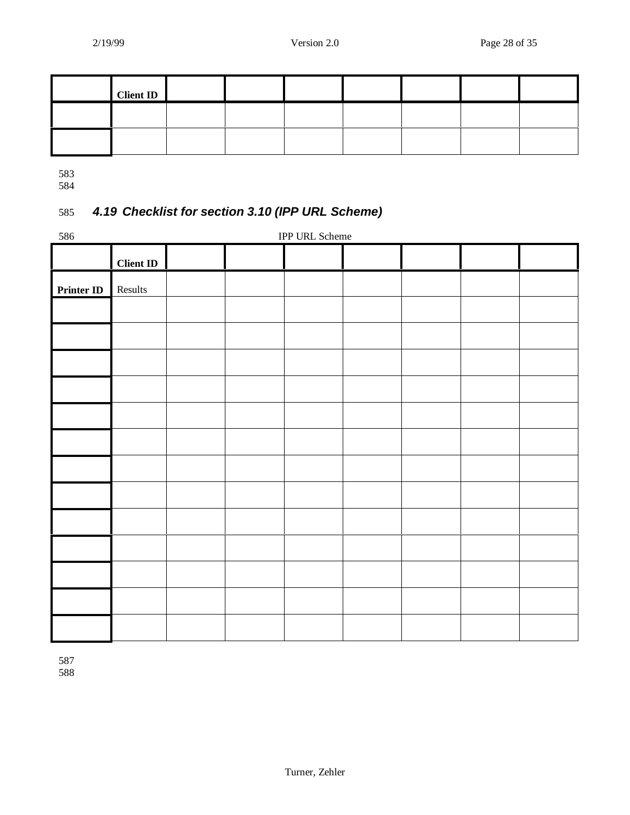| <b>Client ID</b> |  |  |  |  |
|------------------|--|--|--|--|
|                  |  |  |  |  |
|                  |  |  |  |  |

## 585 *4.19 Checklist for section 3.10 (IPP URL Scheme)*

| 586               | IPP URL Scheme   |  |  |  |  |  |  |
|-------------------|------------------|--|--|--|--|--|--|
|                   | <b>Client ID</b> |  |  |  |  |  |  |
| <b>Printer ID</b> | Results          |  |  |  |  |  |  |
|                   |                  |  |  |  |  |  |  |
|                   |                  |  |  |  |  |  |  |
|                   |                  |  |  |  |  |  |  |
|                   |                  |  |  |  |  |  |  |
|                   |                  |  |  |  |  |  |  |
|                   |                  |  |  |  |  |  |  |
|                   |                  |  |  |  |  |  |  |
|                   |                  |  |  |  |  |  |  |
|                   |                  |  |  |  |  |  |  |
|                   |                  |  |  |  |  |  |  |
|                   |                  |  |  |  |  |  |  |
|                   |                  |  |  |  |  |  |  |
|                   |                  |  |  |  |  |  |  |

587 588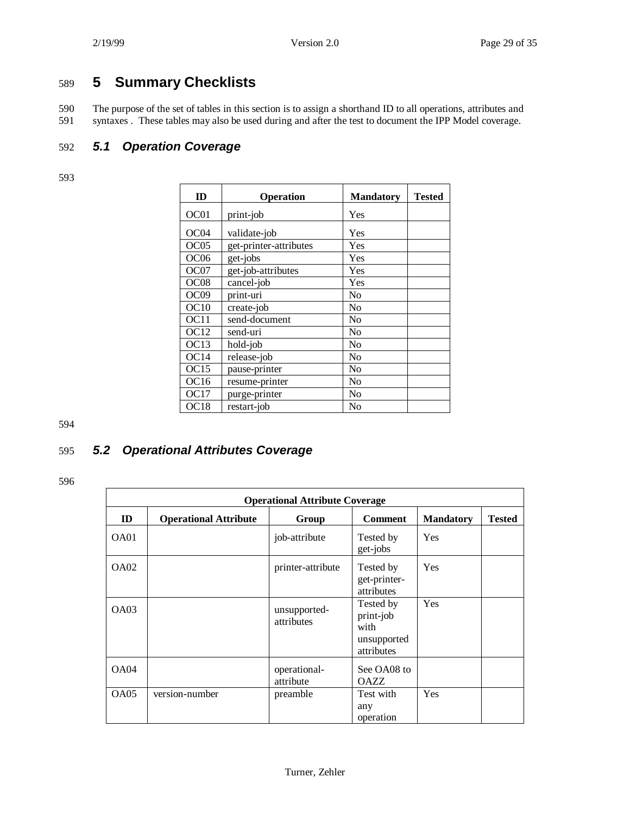## 589 **5 Summary Checklists**

590 The purpose of the set of tables in this section is to assign a shorthand ID to all operations, attributes and syntaxes. These tables may also be used during and after the test to document the IPP Model coverage. syntaxes . These tables may also be used during and after the test to document the IPP Model coverage.

## 592 *5.1 Operation Coverage*

593

| ID               | Operation              | <b>Mandatory</b> | Tested |
|------------------|------------------------|------------------|--------|
| OC01             | print-job              | Yes              |        |
| OC <sub>04</sub> | validate-job           | Yes              |        |
| OC05             | get-printer-attributes | Yes              |        |
| OC <sub>06</sub> | get-jobs               | Yes              |        |
| OC07             | get-job-attributes     | Yes              |        |
| OC <sub>08</sub> | cancel-job             | Yes              |        |
| OC <sub>09</sub> | print-uri              | No               |        |
| OC10             | create-job             | N <sub>0</sub>   |        |
| OC11             | send-document          | No               |        |
| OC <sub>12</sub> | send-uri               | No               |        |
| OC13             | hold-job               | No               |        |
| OC14             | release-job            | N <sub>0</sub>   |        |
| OC <sub>15</sub> | pause-printer          | No               |        |
| OC16             | resume-printer         | N <sub>0</sub>   |        |
| <b>OC17</b>      | purge-printer          | N <sub>0</sub>   |        |
| OC <sub>18</sub> | restart-job            | No               |        |

594

## 595 *5.2 Operational Attributes Coverage*

596

|             | <b>Operational Attribute Coverage</b> |                            |                                                             |                  |               |  |  |  |
|-------------|---------------------------------------|----------------------------|-------------------------------------------------------------|------------------|---------------|--|--|--|
| ID          | <b>Operational Attribute</b>          | Group                      | <b>Comment</b>                                              | <b>Mandatory</b> | <b>Tested</b> |  |  |  |
| OA01        |                                       | job-attribute              | Tested by<br>get-jobs                                       | Yes              |               |  |  |  |
| <b>OA02</b> |                                       | printer-attribute          | Tested by<br>get-printer-<br>attributes                     | Yes              |               |  |  |  |
| OAO3        |                                       | unsupported-<br>attributes | Tested by<br>print-job<br>with<br>unsupported<br>attributes | Yes              |               |  |  |  |
| <b>OA04</b> |                                       | operational-<br>attribute  | See OA08 to<br><b>OAZZ</b>                                  |                  |               |  |  |  |
| OA05        | version-number                        | preamble                   | Test with<br>any<br>operation                               | Yes              |               |  |  |  |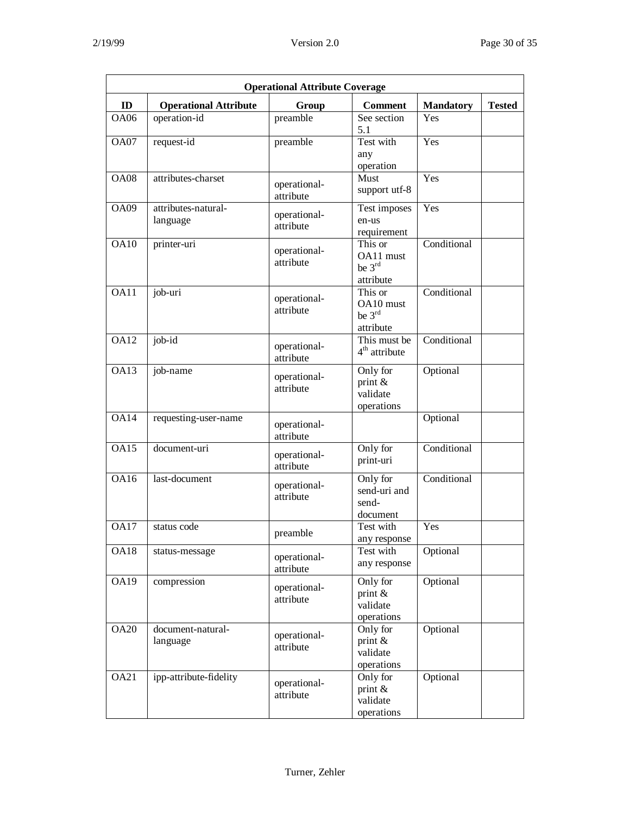| <b>Operational Attribute Coverage</b> |                                 |                           |                                                         |                  |               |  |  |  |
|---------------------------------------|---------------------------------|---------------------------|---------------------------------------------------------|------------------|---------------|--|--|--|
| ID                                    | <b>Operational Attribute</b>    | Group                     | <b>Comment</b>                                          | <b>Mandatory</b> | <b>Tested</b> |  |  |  |
| <b>OA06</b>                           | operation-id                    | preamble                  | See section<br>5.1                                      | Yes              |               |  |  |  |
| OA07                                  | request-id                      | preamble                  | Test with<br>any<br>operation                           | Yes              |               |  |  |  |
| <b>OA08</b>                           | attributes-charset              | operational-<br>attribute | Must<br>support utf-8                                   | Yes              |               |  |  |  |
| <b>OA09</b>                           | attributes-natural-<br>language | operational-<br>attribute | Test imposes<br>en-us<br>requirement                    | Yes              |               |  |  |  |
| <b>OA10</b>                           | printer-uri                     | operational-<br>attribute | This or<br>OA11 must<br>be $3^{\text{rd}}$<br>attribute | Conditional      |               |  |  |  |
| OA11                                  | job-uri                         | operational-<br>attribute | This or<br>OA10 must<br>be $3rd$<br>attribute           | Conditional      |               |  |  |  |
| <b>OA12</b>                           | job-id                          | operational-<br>attribute | This must be<br>$4th$ attribute                         | Conditional      |               |  |  |  |
| <b>OA13</b>                           | job-name                        | operational-<br>attribute | Only for<br>print $\&$<br>validate<br>operations        | Optional         |               |  |  |  |
| <b>OA14</b>                           | requesting-user-name            | operational-<br>attribute |                                                         | Optional         |               |  |  |  |
| <b>OA15</b>                           | document-uri                    | operational-<br>attribute | Only for<br>print-uri                                   | Conditional      |               |  |  |  |
| <b>OA16</b>                           | last-document                   | operational-<br>attribute | Only for<br>send-uri and<br>send-<br>document           | Conditional      |               |  |  |  |
| <b>OA17</b>                           | status code                     | preamble                  | Test with<br>any response                               | Yes              |               |  |  |  |
| <b>OA18</b>                           | status-message                  | operational-<br>attribute | Test with<br>any response                               | Optional         |               |  |  |  |
| <b>OA19</b>                           | compression                     | operational-<br>attribute | Only for<br>print $\&$<br>validate<br>operations        | Optional         |               |  |  |  |
| <b>OA20</b>                           | document-natural-<br>language   | operational-<br>attribute | Only for<br>print $\&$<br>validate<br>operations        | Optional         |               |  |  |  |
| <b>OA21</b>                           | ipp-attribute-fidelity          | operational-<br>attribute | Only for<br>print &<br>validate<br>operations           | Optional         |               |  |  |  |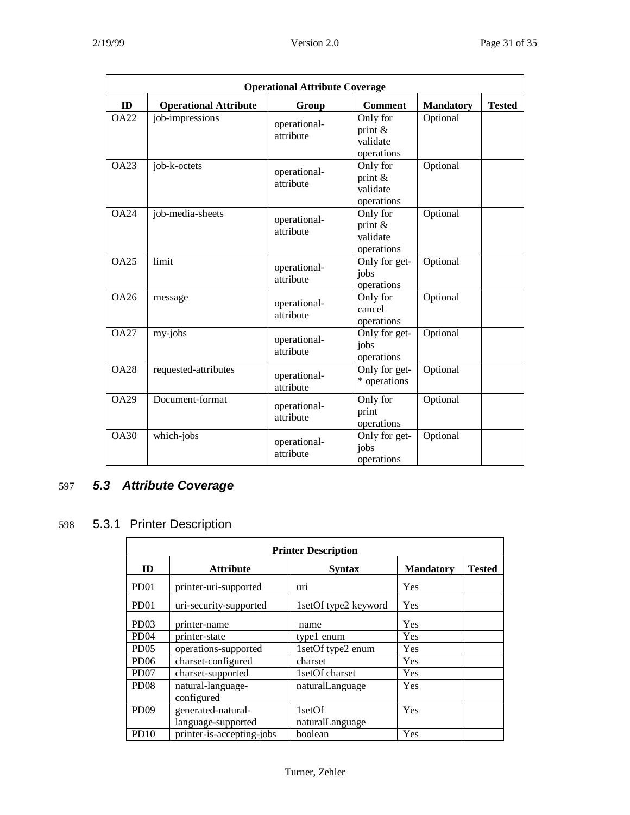| <b>Operational Attribute Coverage</b> |                              |                           |                                                  |                  |               |  |  |  |  |
|---------------------------------------|------------------------------|---------------------------|--------------------------------------------------|------------------|---------------|--|--|--|--|
| ID                                    | <b>Operational Attribute</b> | Group                     | <b>Comment</b>                                   | <b>Mandatory</b> | <b>Tested</b> |  |  |  |  |
| <b>OA22</b>                           | job-impressions              | operational-<br>attribute | Only for<br>print $\&$<br>validate<br>operations | Optional         |               |  |  |  |  |
| OA23                                  | job-k-octets                 | operational-<br>attribute | Only for<br>print $\&$<br>validate<br>operations | Optional         |               |  |  |  |  |
| <b>OA24</b>                           | job-media-sheets             | operational-<br>attribute | Only for<br>print $\&$<br>validate<br>operations | Optional         |               |  |  |  |  |
| OA25                                  | limit                        | operational-<br>attribute | Only for get-<br>jobs<br>operations              | Optional         |               |  |  |  |  |
| OA26                                  | message                      | operational-<br>attribute | Only for<br>cancel<br>operations                 | Optional         |               |  |  |  |  |
| OA27                                  | my-jobs                      | operational-<br>attribute | Only for get-<br>jobs<br>operations              | Optional         |               |  |  |  |  |
| <b>OA28</b>                           | requested-attributes         | operational-<br>attribute | Only for get-<br>* operations                    | Optional         |               |  |  |  |  |
| $\overline{OA29}$                     | Document-format              | operational-<br>attribute | Only for<br>print<br>operations                  | Optional         |               |  |  |  |  |
| <b>OA30</b>                           | which-jobs                   | operational-<br>attribute | Only for get-<br>jobs<br>operations              | Optional         |               |  |  |  |  |

## 597 *5.3 Attribute Coverage*

## 598 5.3.1 Printer Description

| <b>Printer Description</b> |                           |                      |                  |               |  |  |  |
|----------------------------|---------------------------|----------------------|------------------|---------------|--|--|--|
| ID                         | <b>Attribute</b>          | <b>Syntax</b>        | <b>Mandatory</b> | <b>Tested</b> |  |  |  |
| PD <sub>01</sub>           | printer-uri-supported     | uri                  | Yes              |               |  |  |  |
| PD <sub>01</sub>           | uri-security-supported    | 1setOf type2 keyword | Yes              |               |  |  |  |
| PD <sub>03</sub>           | printer-name              | name                 | Yes              |               |  |  |  |
| PD <sub>04</sub>           | printer-state             | type1 enum           | Yes              |               |  |  |  |
| PD <sub>05</sub>           | operations-supported      | 1setOf type2 enum    | Yes              |               |  |  |  |
| PD <sub>06</sub>           | charset-configured        | charset              | Yes              |               |  |  |  |
| PD <sub>07</sub>           | charset-supported         | 1setOf charset       | Yes              |               |  |  |  |
| PD <sub>08</sub>           | natural-language-         | naturalLanguage      | Yes              |               |  |  |  |
|                            | configured                |                      |                  |               |  |  |  |
| PD <sub>09</sub>           | generated-natural-        | 1setOf               | Yes              |               |  |  |  |
|                            | language-supported        | naturalLanguage      |                  |               |  |  |  |
| <b>PD10</b>                | printer-is-accepting-jobs | boolean              | Yes              |               |  |  |  |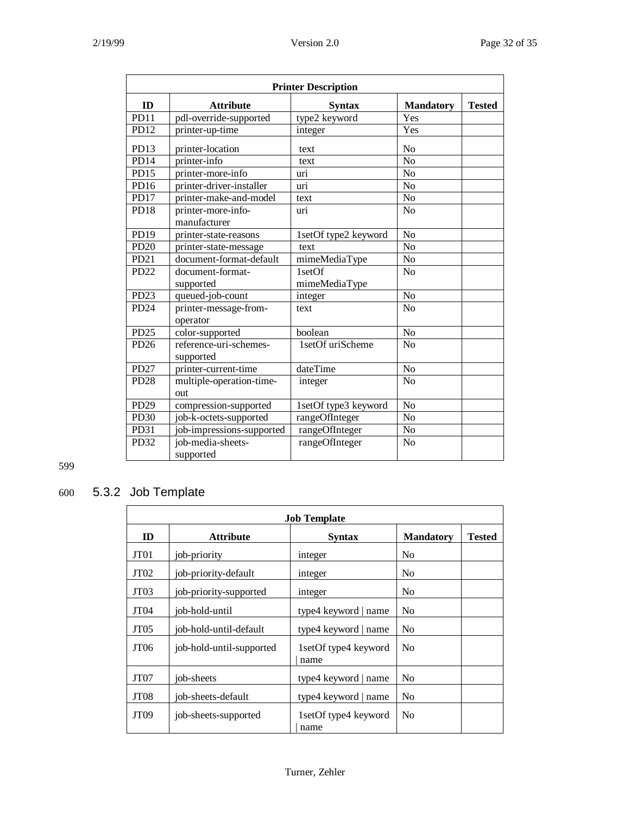|                  | <b>Printer Description</b>          |                      |                  |               |  |  |  |
|------------------|-------------------------------------|----------------------|------------------|---------------|--|--|--|
| ID               | <b>Attribute</b>                    | <b>Syntax</b>        | <b>Mandatory</b> | <b>Tested</b> |  |  |  |
| <b>PD11</b>      | pdl-override-supported              | type2 keyword        | Yes              |               |  |  |  |
| PD <sub>12</sub> | printer-up-time                     | integer              | Yes              |               |  |  |  |
| PD <sub>13</sub> | printer-location                    | text                 | N <sub>o</sub>   |               |  |  |  |
| PD14             | printer-info                        | text                 | $\overline{N}$   |               |  |  |  |
| PD15             | printer-more-info                   | uri                  | N <sub>o</sub>   |               |  |  |  |
| PD16             | printer-driver-installer            | uri                  | N <sub>o</sub>   |               |  |  |  |
| PD17             | printer-make-and-model              | text                 | No               |               |  |  |  |
| <b>PD18</b>      | printer-more-info-<br>manufacturer  | uri                  | N <sub>o</sub>   |               |  |  |  |
| PD19             | printer-state-reasons               | 1setOf type2 keyword | N <sub>o</sub>   |               |  |  |  |
| <b>PD20</b>      | printer-state-message               | text                 | N <sub>o</sub>   |               |  |  |  |
| PD21             | document-format-default             | mimeMediaType        | N <sub>o</sub>   |               |  |  |  |
| PD <sub>22</sub> | document-format-                    | 1setOf               | N <sub>o</sub>   |               |  |  |  |
|                  | supported                           | mimeMediaType        |                  |               |  |  |  |
| PD <sub>23</sub> | queued-job-count                    | integer              | N <sub>o</sub>   |               |  |  |  |
| PD <sub>24</sub> | printer-message-from-<br>operator   | text                 | N <sub>o</sub>   |               |  |  |  |
| <b>PD25</b>      | color-supported                     | boolean              | N <sub>o</sub>   |               |  |  |  |
| PD26             | reference-uri-schemes-<br>supported | 1setOf uriScheme     | N <sub>o</sub>   |               |  |  |  |
| PD27             | printer-current-time                | dateTime             | $\overline{No}$  |               |  |  |  |
| <b>PD28</b>      | multiple-operation-time-<br>out     | integer              | $\overline{No}$  |               |  |  |  |
| <b>PD29</b>      | compression-supported               | 1setOf type3 keyword | N <sub>o</sub>   |               |  |  |  |
| <b>PD30</b>      | job-k-octets-supported              | rangeOfInteger       | N <sub>o</sub>   |               |  |  |  |
| PD31             | job-impressions-supported           | rangeOfInteger       | $\rm No$         |               |  |  |  |
| PD <sub>32</sub> | job-media-sheets-<br>supported      | rangeOfInteger       | N <sub>o</sub>   |               |  |  |  |

## 600 5.3.2 Job Template

| <b>Job Template</b> |                          |                              |                  |               |  |  |  |
|---------------------|--------------------------|------------------------------|------------------|---------------|--|--|--|
| ID                  | <b>Attribute</b>         | <b>Syntax</b>                | <b>Mandatory</b> | <b>Tested</b> |  |  |  |
| JT <sub>01</sub>    | job-priority             | integer                      | N <sub>0</sub>   |               |  |  |  |
| JT <sub>02</sub>    | job-priority-default     | integer                      | N <sub>0</sub>   |               |  |  |  |
| JT <sub>03</sub>    | job-priority-supported   | integer                      | N <sub>0</sub>   |               |  |  |  |
| JT <sub>04</sub>    | iob-hold-until           | type4 keyword   name         | N <sub>0</sub>   |               |  |  |  |
| JT <sub>05</sub>    | iob-hold-until-default   | type4 keyword   name         | N <sub>0</sub>   |               |  |  |  |
| JT <sub>06</sub>    | job-hold-until-supported | 1setOf type4 keyword<br>name | N <sub>0</sub>   |               |  |  |  |
| JT <sub>07</sub>    | job-sheets               | type4 keyword   name         | No               |               |  |  |  |
| JT <sub>08</sub>    | job-sheets-default       | type4 keyword   name         | N <sub>0</sub>   |               |  |  |  |
| JT <sub>09</sub>    | job-sheets-supported     | 1setOf type4 keyword<br>name | N <sub>0</sub>   |               |  |  |  |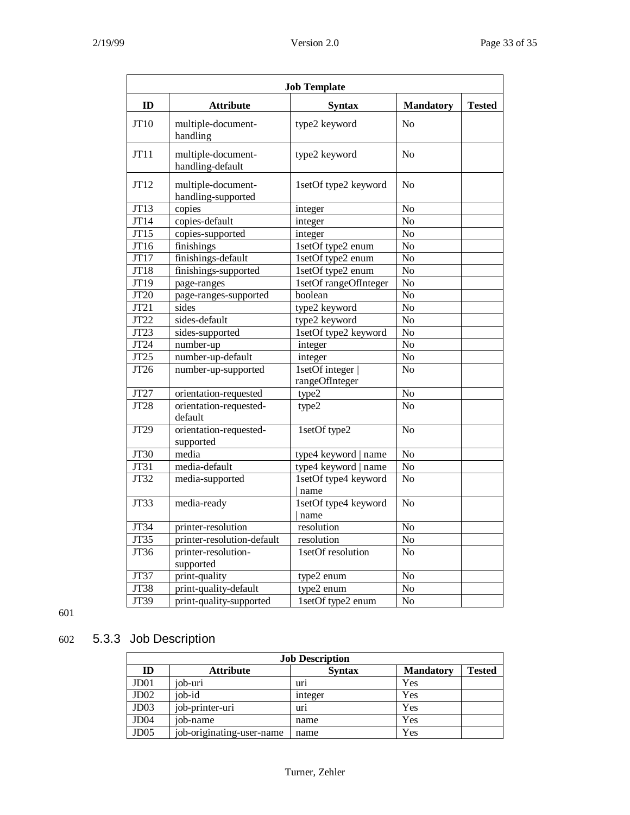| <b>Job Template</b>      |                                          |                                  |                  |               |
|--------------------------|------------------------------------------|----------------------------------|------------------|---------------|
| ID                       | <b>Attribute</b>                         | <b>Syntax</b>                    | <b>Mandatory</b> | <b>Tested</b> |
| JT10                     | multiple-document-<br>handling           | type2 keyword                    | No               |               |
| JT11                     | multiple-document-<br>handling-default   | type2 keyword                    | No               |               |
| JT12                     | multiple-document-<br>handling-supported | 1setOf type2 keyword             | No               |               |
| JT13                     | copies                                   | integer                          | No               |               |
| JT14                     | copies-default                           | integer                          | $\overline{No}$  |               |
| JT15                     | copies-supported                         | integer                          | N <sub>o</sub>   |               |
| JT16                     | finishings                               | 1setOf type2 enum                | N <sub>o</sub>   |               |
| JT17                     | finishings-default                       | 1setOf type2 enum                | N <sub>o</sub>   |               |
| $J\overline{T18}$        | finishings-supported                     | 1setOf type2 enum                | N <sub>o</sub>   |               |
| JT19                     | page-ranges                              | 1setOf rangeOfInteger            | No               |               |
| JT <sub>20</sub>         | page-ranges-supported                    | boolean                          | $\overline{No}$  |               |
| $\overline{JT21}$        | sides                                    | type2 keyword                    | $\overline{No}$  |               |
| $\overline{JT22}$        | sides-default                            | type2 keyword                    | $\overline{No}$  |               |
| $\overline{JT23}$        | sides-supported                          | 1setOf type2 keyword             | N <sub>o</sub>   |               |
| JT24                     | number-up                                | integer                          | No               |               |
| $\overline{\text{JT}}25$ | number-up-default                        | integer                          | No               |               |
| JT <sub>26</sub>         | number-up-supported                      | 1setOf integer<br>rangeOfInteger | $\overline{No}$  |               |
| JT27                     | orientation-requested                    | type2                            | $\overline{No}$  |               |
| JT28                     | orientation-requested-<br>default        | type2                            | N <sub>0</sub>   |               |
| JT <sub>29</sub>         | orientation-requested-<br>supported      | 1setOf type2                     | No               |               |
| JT30                     | media                                    | type4 keyword   name             | No               |               |
| JT31                     | media-default                            | type4 keyword   name             | N <sub>o</sub>   |               |
| JT32                     | media-supported                          | 1setOf type4 keyword<br>name     | N <sub>o</sub>   |               |
| <b>JT33</b>              | media-ready                              | 1setOf type4 keyword<br>name     | $\overline{No}$  |               |
| JT34                     | printer-resolution                       | resolution                       | No               |               |
| JT35                     | printer-resolution-default               | resolution                       | N <sub>o</sub>   |               |
| JT36                     | printer-resolution-                      | 1setOf resolution                | N <sub>o</sub>   |               |
|                          | supported                                |                                  |                  |               |
| JT37                     | print-quality                            | type2 enum                       | N <sub>o</sub>   |               |
| JT38                     | print-quality-default                    | type2 enum                       | No               |               |
| JT39                     | print-quality-supported                  | 1setOf type2 enum                | N <sub>o</sub>   |               |

## 602 5.3.3 Job Description

| <b>Job Description</b> |                           |               |                  |        |
|------------------------|---------------------------|---------------|------------------|--------|
| ID                     | <b>Attribute</b>          | <b>Syntax</b> | <b>Mandatory</b> | Tested |
| J <sub>D01</sub>       | iob-uri                   | uri           | Yes              |        |
| J <sub>D</sub> 02      | iob-id                    | integer       | Yes              |        |
| J <sub>D</sub> 03      | job-printer-uri           | uri           | Yes              |        |
| JD <sub>04</sub>       | job-name                  | name          | Yes              |        |
| J <sub>D05</sub>       | job-originating-user-name | name          | Yes              |        |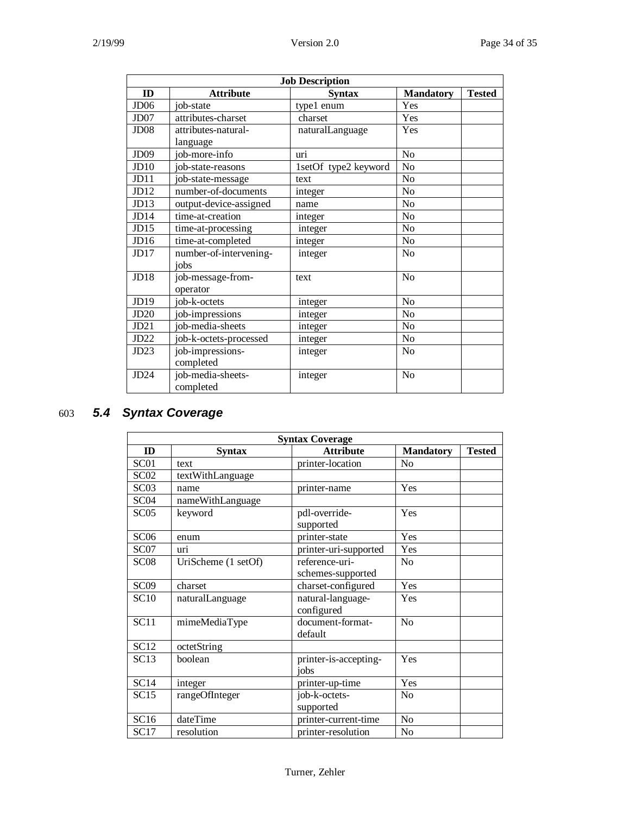| <b>Job Description</b> |                        |                      |                  |               |
|------------------------|------------------------|----------------------|------------------|---------------|
| ID                     | <b>Attribute</b>       | <b>Syntax</b>        | <b>Mandatory</b> | <b>Tested</b> |
| JD <sub>06</sub>       | iob-state              | type1 enum           | Yes              |               |
| JD07                   | attributes-charset     | charset              | Yes              |               |
| J <sub>D</sub> 08      | attributes-natural-    | naturalLanguage      | Yes              |               |
|                        | language               |                      |                  |               |
| JD <sub>09</sub>       | job-more-info          | uri                  | No               |               |
| JD10                   | job-state-reasons      | 1setOf type2 keyword | No               |               |
| JD11                   | job-state-message      | text                 | No               |               |
| JD12                   | number-of-documents    | integer              | No               |               |
| JD13                   | output-device-assigned | name                 | N <sub>o</sub>   |               |
| JD14                   | time-at-creation       | integer              | No               |               |
| JD15                   | time-at-processing     | integer              | N <sub>0</sub>   |               |
| JD16                   | time-at-completed      | integer              | No               |               |
| JD17                   | number-of-intervening- | integer              | No               |               |
|                        | iobs                   |                      |                  |               |
| JD18                   | job-message-from-      | text                 | No               |               |
|                        | operator               |                      |                  |               |
| JD19                   | job-k-octets           | integer              | N <sub>o</sub>   |               |
| JD20                   | job-impressions        | integer              | No               |               |
| JD21                   | job-media-sheets       | integer              | No               |               |
| JD22                   | job-k-octets-processed | integer              | N <sub>o</sub>   |               |
| JD23                   | job-impressions-       | integer              | No               |               |
|                        | completed              |                      |                  |               |
| JD24                   | job-media-sheets-      | integer              | No               |               |
|                        | completed              |                      |                  |               |

## 603 *5.4 Syntax Coverage*

|                  | <b>Syntax Coverage</b> |                                     |                  |               |  |  |
|------------------|------------------------|-------------------------------------|------------------|---------------|--|--|
| ID               | Syntax                 | <b>Attribute</b>                    | <b>Mandatory</b> | <b>Tested</b> |  |  |
| SC <sub>01</sub> | text                   | printer-location                    | No               |               |  |  |
| SC02             | textWithLanguage       |                                     |                  |               |  |  |
| SC <sub>03</sub> | name                   | printer-name                        | Yes              |               |  |  |
| SC <sub>04</sub> | nameWithLanguage       |                                     |                  |               |  |  |
| SC <sub>05</sub> | keyword                | pdl-override-<br>supported          | Yes              |               |  |  |
| SC <sub>06</sub> | enum                   | printer-state                       | Yes              |               |  |  |
| SC <sub>07</sub> | uri                    | printer-uri-supported               | Yes              |               |  |  |
| SC <sub>08</sub> | UriScheme (1 setOf)    | reference-uri-<br>schemes-supported | N <sub>0</sub>   |               |  |  |
| SC <sub>09</sub> | charset                | charset-configured                  | Yes              |               |  |  |
| <b>SC10</b>      | naturalLanguage        | natural-language-<br>configured     | Yes              |               |  |  |
| SC11             | mimeMediaType          | document-format-<br>default         | No               |               |  |  |
| <b>SC12</b>      | octetString            |                                     |                  |               |  |  |
| SC13             | boolean                | printer-is-accepting-<br>iobs       | Yes              |               |  |  |
| SC14             | integer                | printer-up-time                     | Yes              |               |  |  |
| SC15             | rangeOfInteger         | job-k-octets-<br>supported          | N <sub>0</sub>   |               |  |  |
| SC16             | dateTime               | printer-current-time                | N <sub>o</sub>   |               |  |  |
| SC17             | resolution             | printer-resolution                  | No               |               |  |  |